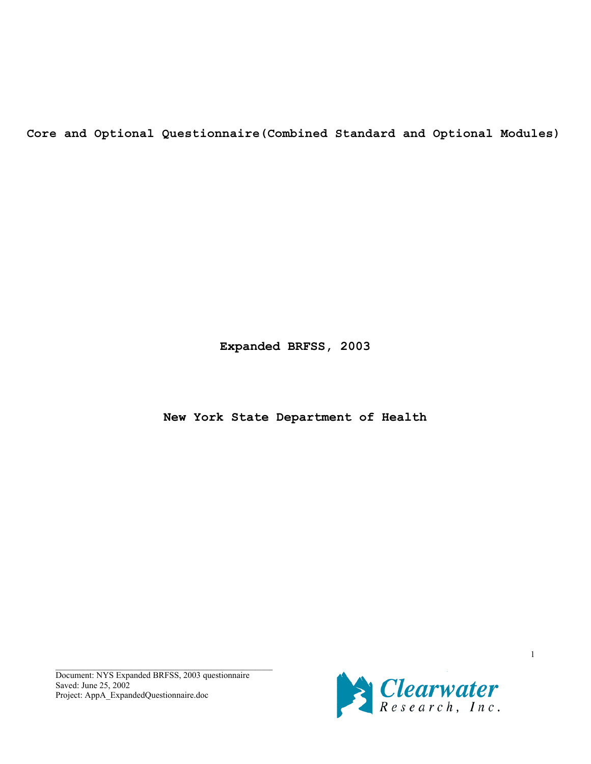**Core and Optional Questionnaire(Combined Standard and Optional Modules)**

**Expanded BRFSS, 2003**

**New York State Department of Health**

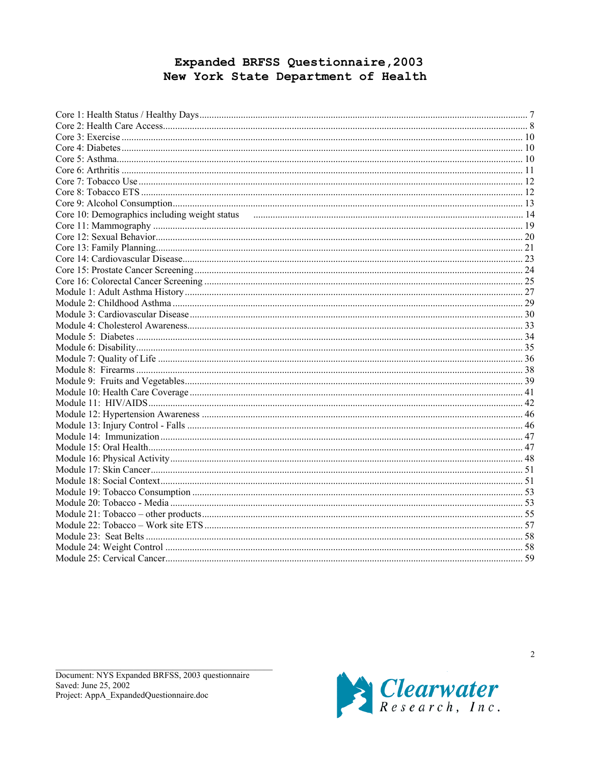# Expanded BRFSS Questionnaire, 2003 New York State Department of Health

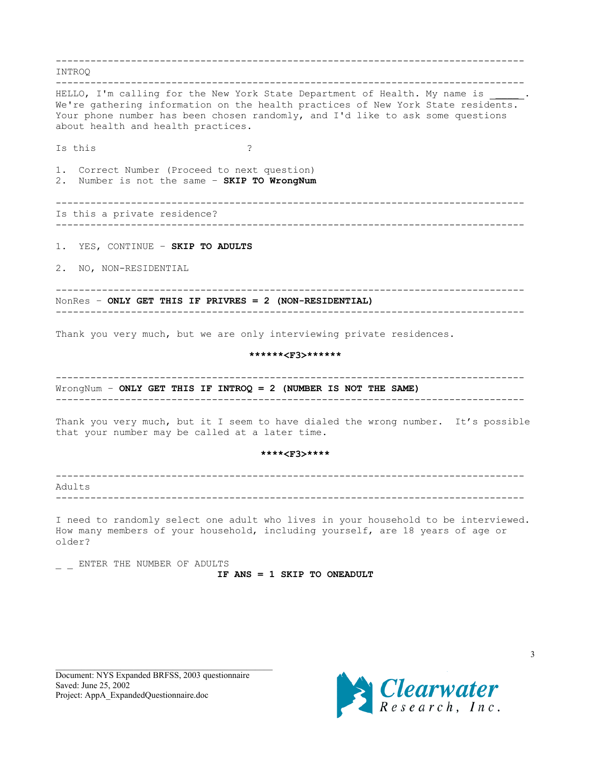--------------------------------------------------------------------------------- INTROQ --------------------------------------------------------------------------------- HELLO, I'm calling for the New York State Department of Health. My name is We're gathering information on the health practices of New York State residents. Your phone number has been chosen randomly, and I'd like to ask some questions about health and health practices. Is this ? 1. Correct Number (Proceed to next question) 2. Number is not the same – **SKIP TO WrongNum** --------------------------------------------------------------------------------- Is this a private residence? --------------------------------------------------------------------------------- 1. YES, CONTINUE – **SKIP TO ADULTS** 2. NO, NON-RESIDENTIAL --------------------------------------------------------------------------------- NonRes – **ONLY GET THIS IF PRIVRES = 2 (NON-RESIDENTIAL)** --------------------------------------------------------------------------------- Thank you very much, but we are only interviewing private residences. **\*\*\*\*\*\*<F3>\*\*\*\*\*\*** --------------------------------------------------------------------------------- WrongNum – **ONLY GET THIS IF INTROQ = 2 (NUMBER IS NOT THE SAME)** --------------------------------------------------------------------------------- Thank you very much, but it I seem to have dialed the wrong number. It's possible that your number may be called at a later time. **\*\*\*\*<F3>\*\*\*\*** --------------------------------------------------------------------------------- Adults --------------------------------------------------------------------------------- I need to randomly select one adult who lives in your household to be interviewed. How many members of your household, including yourself, are 18 years of age or older? ENTER THE NUMBER OF ADULTS **IF ANS = 1 SKIP TO ONEADULT**

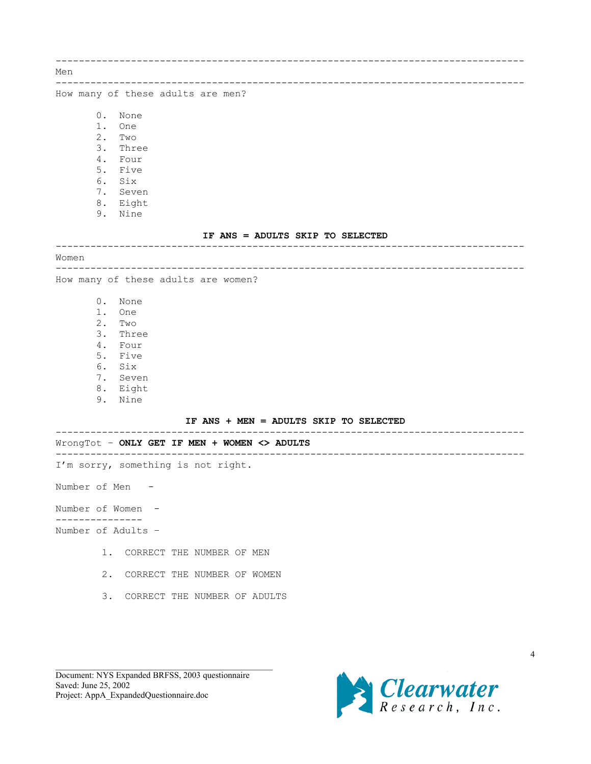--------------------------------------------------------------------------------- Men --------------------------------------------------------------------------------- How many of these adults are men? 0. None 1. One 2. Two 3. Three 4. Four 5. Five 6. Six 7. Seven 8. Eight 9. Nine **IF ANS = ADULTS SKIP TO SELECTED** --------------------------------------------------------------------------------- Women --------------------------------------------------------------------------------- How many of these adults are women? 0. None 1. One 2. Two 3. Three 4. Four 5. Five 6. Six 7. Seven 8. Eight 9. Nine **IF ANS + MEN = ADULTS SKIP TO SELECTED** --------------------------------------------------------------------------------- WrongTot – **ONLY GET IF MEN + WOMEN <> ADULTS** --------------------------------------------------------------------------------- I'm sorry, something is not right. Number of Men - Number of Women - --------------- Number of Adults – 1. CORRECT THE NUMBER OF MEN 2. CORRECT THE NUMBER OF WOMEN 3. CORRECT THE NUMBER OF ADULTS

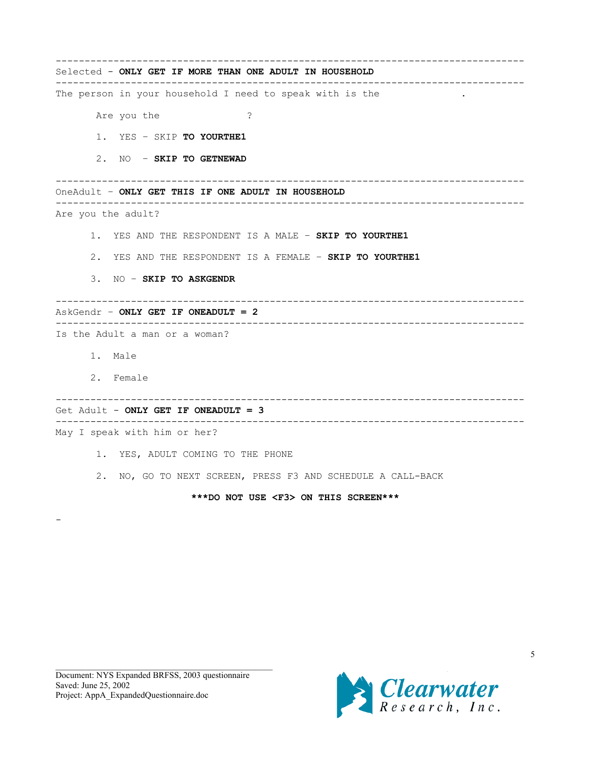| Selected - ONLY GET IF MORE THAN ONE ADULT IN HOUSEHOLD        |
|----------------------------------------------------------------|
| The person in your household I need to speak with is the       |
| Are you the<br>?                                               |
| 1. YES - SKIP TO YOURTHE1                                      |
| 2. NO - SKIP TO GETNEWAD                                       |
| OneAdult - ONLY GET THIS IF ONE ADULT IN HOUSEHOLD             |
| Are you the adult?                                             |
| 1. YES AND THE RESPONDENT IS A MALE - SKIP TO YOURTHE1         |
| 2. YES AND THE RESPONDENT IS A FEMALE - SKIP TO YOURTHE1       |
| 3. NO - SKIP TO ASKGENDR                                       |
| AskGendr - <b>ONLY GET IF ONEADULT = 2</b>                     |
| Is the Adult a man or a woman?                                 |
| 1. Male                                                        |
| 2. Female<br>__________________________                        |
| Get Adult - ONLY GET IF ONEADULT = 3                           |
| May I speak with him or her?                                   |
| 1. YES, ADULT COMING TO THE PHONE                              |
| NO, GO TO NEXT SCREEN, PRESS F3 AND SCHEDULE A CALL-BACK<br>2. |
| ***DO NOT USE <f3> ON THIS SCREEN***</f3>                      |

-

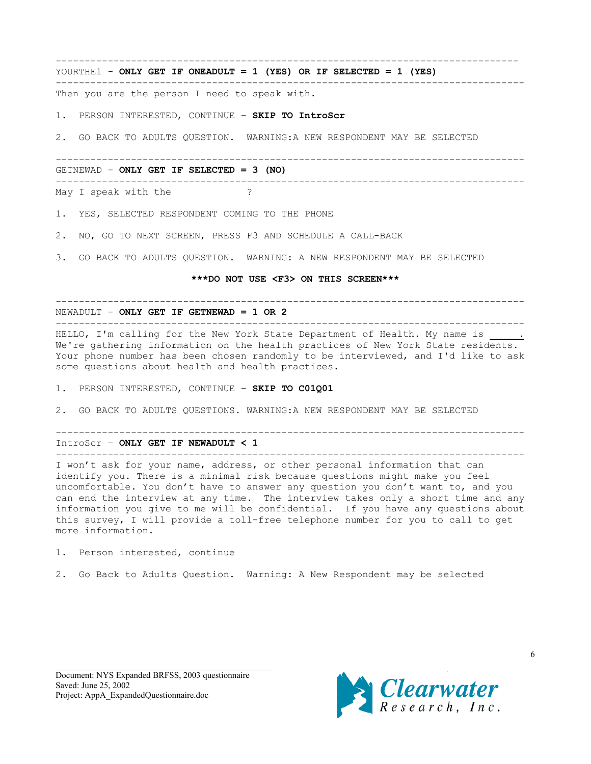--------------------------------------------------------------------------------

---------------------------------------------------------------------------------

YOURTHE1 - **ONLY GET IF ONEADULT = 1 (YES) OR IF SELECTED = 1 (YES)**

Then you are the person I need to speak with.

1. PERSON INTERESTED, CONTINUE – **SKIP TO IntroScr**

2. GO BACK TO ADULTS QUESTION. WARNING:A NEW RESPONDENT MAY BE SELECTED

--------------------------------------------------------------------------------- GETNEWAD - **ONLY GET IF SELECTED = 3 (NO)** --------------------------------------------------------------------------------- May I speak with the ?

1. YES, SELECTED RESPONDENT COMING TO THE PHONE

2. NO, GO TO NEXT SCREEN, PRESS F3 AND SCHEDULE A CALL-BACK

3. GO BACK TO ADULTS QUESTION. WARNING: A NEW RESPONDENT MAY BE SELECTED

#### **\*\*\*DO NOT USE <F3> ON THIS SCREEN\*\*\***

---------------------------------------------------------------------------------

NEWADULT - **ONLY GET IF GETNEWAD = 1 OR 2**

--------------------------------------------------------------------------------- HELLO, I'm calling for the New York State Department of Health. My name is We're gathering information on the health practices of New York State residents. Your phone number has been chosen randomly to be interviewed, and I'd like to ask some questions about health and health practices.

1. PERSON INTERESTED, CONTINUE – **SKIP TO C01Q01**

2. GO BACK TO ADULTS QUESTIONS. WARNING:A NEW RESPONDENT MAY BE SELECTED

--------------------------------------------------------------------------------- IntroScr – **ONLY GET IF NEWADULT < 1**

---------------------------------------------------------------------------------

I won't ask for your name, address, or other personal information that can identify you. There is a minimal risk because questions might make you feel uncomfortable. You don't have to answer any question you don't want to, and you can end the interview at any time. The interview takes only a short time and any information you give to me will be confidential. If you have any questions about this survey, I will provide a toll-free telephone number for you to call to get more information.

1. Person interested, continue

2. Go Back to Adults Question. Warning: A New Respondent may be selected

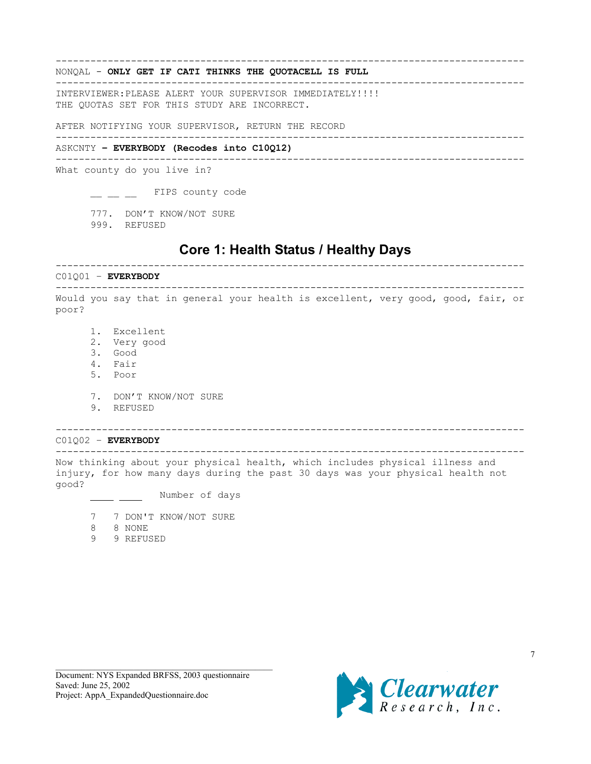### NONQAL - **ONLY GET IF CATI THINKS THE QUOTACELL IS FULL**

INTERVIEWER:PLEASE ALERT YOUR SUPERVISOR IMMEDIATELY!!!! THE QUOTAS SET FOR THIS STUDY ARE INCORRECT.

AFTER NOTIFYING YOUR SUPERVISOR, RETURN THE RECORD

#### ---------------------------------------------------------------------------------

---------------------------------------------------------------------------------

---------------------------------------------------------------------------------

### ASKCNTY **– EVERYBODY (Recodes into C10Q12)**

---------------------------------------------------------------------------------

What county do you live in?

\_ \_ \_ FIPS county code

777. DON'T KNOW/NOT SURE

999. REFUSED

# **Core 1: Health Status / Healthy Days**

<span id="page-6-0"></span>---------------------------------------------------------------------------------

---------------------------------------------------------------------------------

Would you say that in general your health is excellent, very good, good, fair, or poor?

- 1. Excellent
- 2. Very good
- 3. Good

C01Q01 – **EVERYBODY**

- 4. Fair
- 5. Poor
- 7. DON'T KNOW/NOT SURE
- 9. REFUSED

C01Q02 – **EVERYBODY**

---------------------------------------------------------------------------------

Now thinking about your physical health, which includes physical illness and injury, for how many days during the past 30 days was your physical health not good?

---------------------------------------------------------------------------------

Number of days

- 7 7 DON'T KNOW/NOT SURE
- 8 8 NONE
- 9 9 REFUSED

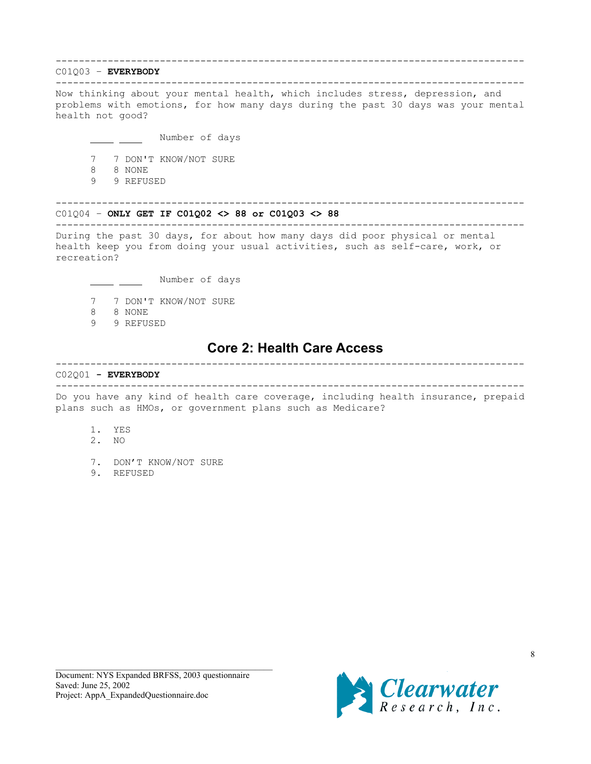## <span id="page-7-0"></span>---------------------------------------------------------------------------------

## C01Q03 – **EVERYBODY**

---------------------------------------------------------------------------------

Now thinking about your mental health, which includes stress, depression, and problems with emotions, for how many days during the past 30 days was your mental health not good?

Number of days

7 7 DON'T KNOW/NOT SURE

- 8 8 NONE
- 9 9 REFUSED

### ---------------------------------------------------------------------------------

C01Q04 – **ONLY GET IF C01Q02 <> 88 or C01Q03 <> 88** ---------------------------------------------------------------------------------

During the past 30 days, for about how many days did poor physical or mental health keep you from doing your usual activities, such as self-care, work, or recreation?

Number of days

- 7 7 DON'T KNOW/NOT SURE
- 8 8 NONE
- 9 9 REFUSED

## **Core 2: Health Care Access**

#### C02Q01 **- EVERYBODY**

---------------------------------------------------------------------------------

---------------------------------------------------------------------------------

Do you have any kind of health care coverage, including health insurance, prepaid plans such as HMOs, or government plans such as Medicare?

- 1. YES
- 2. NO
- 7. DON'T KNOW/NOT SURE
- 9. REFUSED

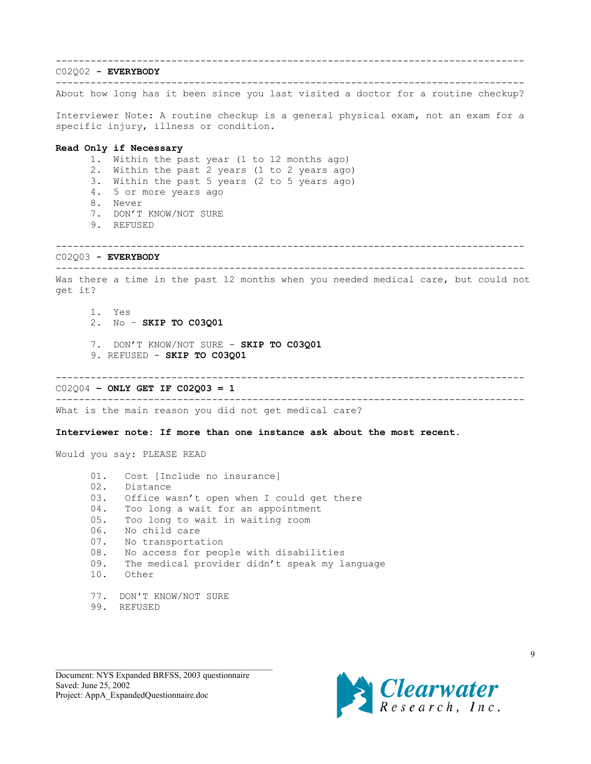# --------------------------------------------------------------------------------- C02Q02 **- EVERYBODY** --------------------------------------------------------------------------------- About how long has it been since you last visited a doctor for a routine checkup? Interviewer Note: A routine checkup is a general physical exam, not an exam for a specific injury, illness or condition. **Read Only if Necessary** 1. Within the past year (1 to 12 months ago) 2. Within the past 2 years (1 to 2 years ago) 3. Within the past 5 years (2 to 5 years ago) 4. 5 or more years ago 8. Never 7. DON'T KNOW/NOT SURE 9. REFUSED --------------------------------------------------------------------------------- C02Q03 **- EVERYBODY** --------------------------------------------------------------------------------- Was there a time in the past 12 months when you needed medical care, but could not get it? 1. Yes 2. No – **SKIP TO C03Q01** 7. DON'T KNOW/NOT SURE - **SKIP TO C03Q01** 9. REFUSED - **SKIP TO C03Q01** --------------------------------------------------------------------------------- C02Q04 **– ONLY GET IF C02Q03 = 1** --------------------------------------------------------------------------------- What is the main reason you did not get medical care? **Interviewer note: If more than one instance ask about the most recent.** Would you say: PLEASE READ 01. Cost [Include no insurance] 02. Distance 03. Office wasn't open when I could get there 04. Too long a wait for an appointment 05. Too long to wait in waiting room 06. No child care

- 07. No transportation
- 08. No access for people with disabilities
- 09. The medical provider didn't speak my language
- 10. Other
- 77. DON'T KNOW/NOT SURE
- 99. REFUSED

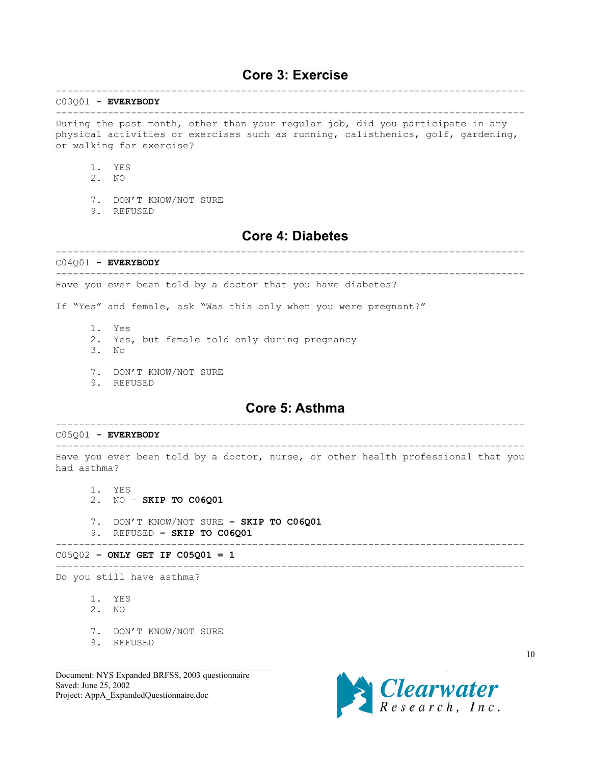## <span id="page-9-0"></span>**Core 3: Exercise** ---------------------------------------------------------------------------------

### C03Q01 - **EVERYBODY**

#### ---------------------------------------------------------------------------------

During the past month, other than your regular job, did you participate in any physical activities or exercises such as running, calisthenics, golf, gardening, or walking for exercise?

- 1. YES
- 2. NO
- 7. DON'T KNOW/NOT SURE
- 9. REFUSED

# **Core 4: Diabetes**

---------------------------------------------------------------------------------

C04Q01 **- EVERYBODY** --------------------------------------------------------------------------------- Have you ever been told by a doctor that you have diabetes?

If "Yes" and female, ask "Was this only when you were pregnant?"

- 1. Yes
- 2. Yes, but female told only during pregnancy
- 3. No
- 7. DON'T KNOW/NOT SURE
- 9. REFUSED

## **Core 5: Asthma** ---------------------------------------------------------------------------------

C05Q01 **- EVERYBODY** --------------------------------------------------------------------------------- Have you ever been told by a doctor, nurse, or other health professional that you had asthma? 1. YES 2. NO – **SKIP TO C06Q01** 7. DON'T KNOW/NOT SURE **– SKIP TO C06Q01** 9. REFUSED **– SKIP TO C06Q01** --------------------------------------------------------------------------------- C05Q02 **– ONLY GET IF C05Q01 = 1** --------------------------------------------------------------------------------- Do you still have asthma?

- 1. YES
- 2. NO
- 7. DON'T KNOW/NOT SURE
- 9. REFUSED

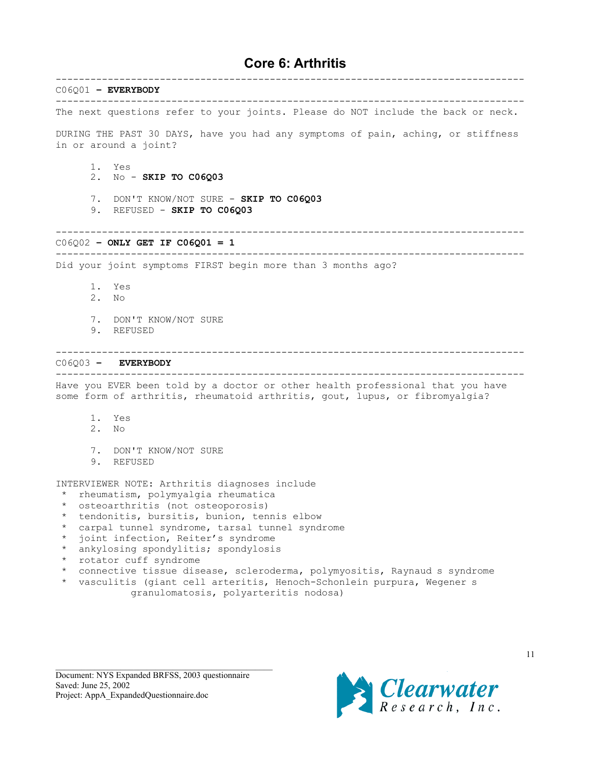# **Core 6: Arthritis**

<span id="page-10-0"></span>--------------------------------------------------------------------------------- C06Q01 **– EVERYBODY** --------------------------------------------------------------------------------- The next questions refer to your joints. Please do NOT include the back or neck. DURING THE PAST 30 DAYS, have you had any symptoms of pain, aching, or stiffness in or around a joint? 1. Yes 2. No - **SKIP TO C06Q03** 7. DON'T KNOW/NOT SURE - **SKIP TO C06Q03** 9. REFUSED - **SKIP TO C06Q03** --------------------------------------------------------------------------------- C06Q02 **– ONLY GET IF C06Q01 = 1** --------------------------------------------------------------------------------- Did your joint symptoms FIRST begin more than 3 months ago? 1. Yes 2. No 7. DON'T KNOW/NOT SURE 9. REFUSED --------------------------------------------------------------------------------- C06Q03 **– EVERYBODY** --------------------------------------------------------------------------------- Have you EVER been told by a doctor or other health professional that you have some form of arthritis, rheumatoid arthritis, gout, lupus, or fibromyalgia? 1. Yes 2. No 7. DON'T KNOW/NOT SURE 9. REFUSED INTERVIEWER NOTE: Arthritis diagnoses include \* rheumatism, polymyalgia rheumatica \* osteoarthritis (not osteoporosis) \* tendonitis, bursitis, bunion, tennis elbow \* carpal tunnel syndrome, tarsal tunnel syndrome joint infection, Reiter's syndrome ankylosing spondylitis; spondylosis

- \* rotator cuff syndrome
- connective tissue disease, scleroderma, polymyositis, Raynaud s syndrome
- \* vasculitis (giant cell arteritis, Henoch-Schonlein purpura, Wegeners granulomatosis, polyarteritis nodosa)

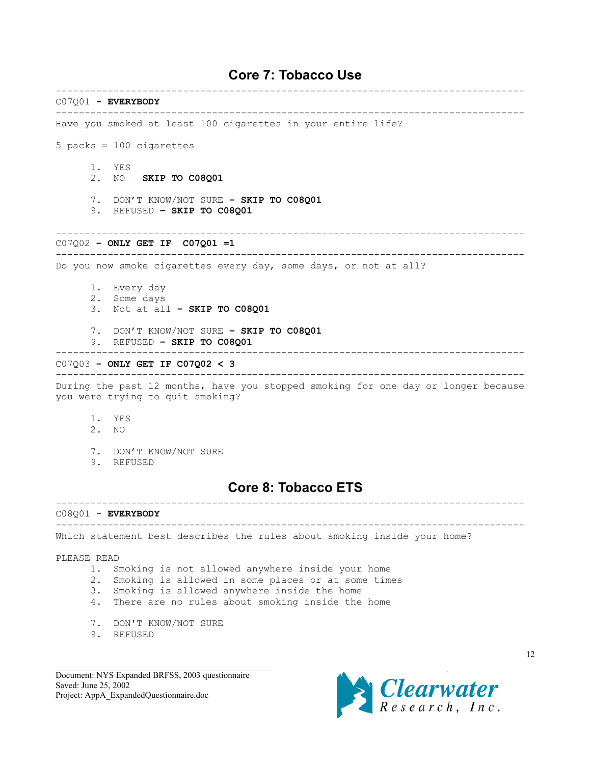# **Core 7: Tobacco Use**

<span id="page-11-0"></span>--------------------------------------------------------------------------------- C07Q01 **- EVERYBODY** --------------------------------------------------------------------------------- Have you smoked at least 100 cigarettes in your entire life? 5 packs = 100 cigarettes 1. YES 2. NO – **SKIP TO C08Q01** 7. DON'T KNOW/NOT SURE **– SKIP TO C08Q01** 9. REFUSED **– SKIP TO C08Q01** --------------------------------------------------------------------------------- C07Q02 **– ONLY GET IF C07Q01 =1** --------------------------------------------------------------------------------- Do you now smoke cigarettes every day, some days, or not at all? 1. Every day 2. Some days 3. Not at all **– SKIP TO C08Q01** 7. DON'T KNOW/NOT SURE **– SKIP TO C08Q01** 9. REFUSED **– SKIP TO C08Q01** --------------------------------------------------------------------------------- C07Q03 **– ONLY GET IF C07Q02 < 3** --------------------------------------------------------------------------------- During the past 12 months, have you stopped smoking for one day or longer because you were trying to quit smoking? 1. YES 2. NO 7. DON'T KNOW/NOT SURE 9. REFUSED **Core 8: Tobacco ETS** --------------------------------------------------------------------------------- C08Q01 - **EVERYBODY** --------------------------------------------------------------------------------- Which statement best describes the rules about smoking inside your home? PLEASE READ 1. Smoking is not allowed anywhere inside your home 2. Smoking is allowed in some places or at some times 3. Smoking is allowed anywhere inside the home 4. There are no rules about smoking inside the home 7. DON'T KNOW/NOT SURE

9. REFUSED

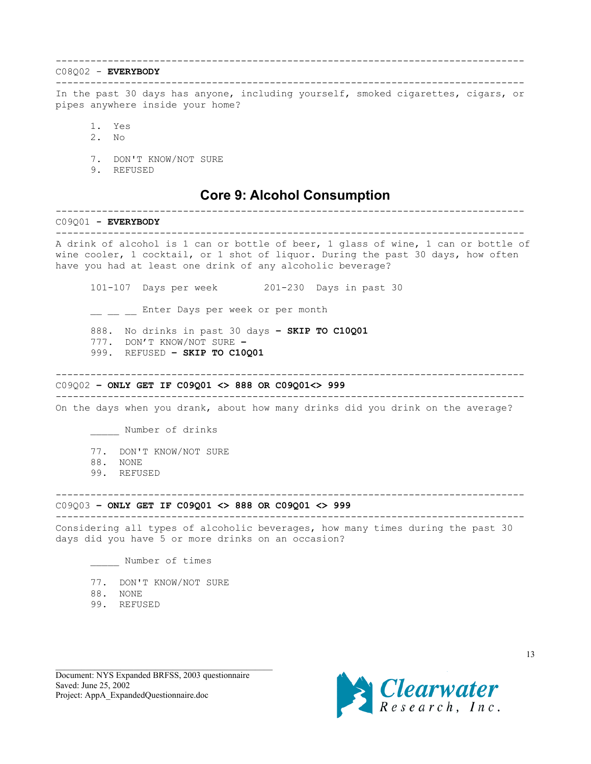### <span id="page-12-0"></span>C08Q02 - **EVERYBODY**

--------------------------------------------------------------------------------- In the past 30 days has anyone, including yourself, smoked cigarettes, cigars, or pipes anywhere inside your home?

---------------------------------------------------------------------------------

- 1. Yes
- 2. No
- 7. DON'T KNOW/NOT SURE
- 9. REFUSED

# **Core 9: Alcohol Consumption**

# ---------------------------------------------------------------------------------

C09Q01 **- EVERYBODY** ---------------------------------------------------------------------------------

A drink of alcohol is 1 can or bottle of beer, 1 glass of wine, 1 can or bottle of wine cooler, 1 cocktail, or 1 shot of liquor. During the past 30 days, how often have you had at least one drink of any alcoholic beverage?

101-107 Days per week 201-230 Days in past 30

\_\_ \_\_ \_ Enter Days per week or per month

888. No drinks in past 30 days **– SKIP TO C10Q01**

- 777. DON'T KNOW/NOT SURE **–**
- 999. REFUSED **SKIP TO C10Q01**

## ---------------------------------------------------------------------------------

### C09Q02 **– ONLY GET IF C09Q01 <> 888 OR C09Q01<> 999**

--------------------------------------------------------------------------------- On the days when you drank, about how many drinks did you drink on the average?

\_\_\_\_\_ Number of drinks

- 77. DON'T KNOW/NOT SURE
- 88. NONE
- 99. REFUSED

## C09Q03 **– ONLY GET IF C09Q01 <> 888 OR C09Q01 <> 999**

---------------------------------------------------------------------------------

Considering all types of alcoholic beverages, how many times during the past 30 days did you have 5 or more drinks on an occasion?

---------------------------------------------------------------------------------

Number of times

- 77. DON'T KNOW/NOT SURE
- 88. NONE
- 99. REFUSED

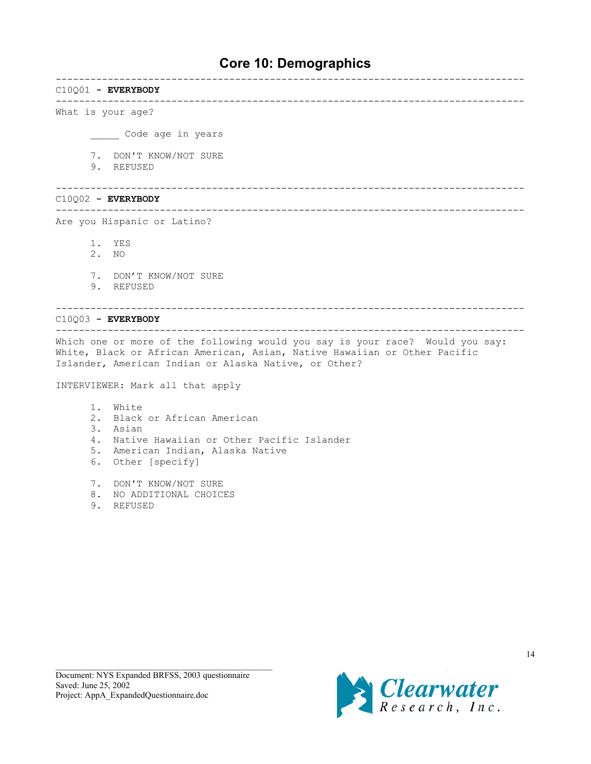# **Core 10: Demographics**

<span id="page-13-0"></span>--------------------------------------------------------------------------------- C10Q01 **- EVERYBODY** --------------------------------------------------------------------------------- What is your age? \_\_\_\_\_ Code age in years 7. DON'T KNOW/NOT SURE 9. REFUSED --------------------------------------------------------------------------------- C10Q02 **- EVERYBODY** --------------------------------------------------------------------------------- Are you Hispanic or Latino? 1. YES 2. NO 7. DON'T KNOW/NOT SURE 9. REFUSED --------------------------------------------------------------------------------- C10Q03 **- EVERYBODY** --------------------------------------------------------------------------------- Which one or more of the following would you say is your race? Would you say: White, Black or African American, Asian, Native Hawaiian or Other Pacific Islander, American Indian or Alaska Native, or Other? INTERVIEWER: Mark all that apply 1. White 2. Black or African American 3. Asian

- 4. Native Hawaiian or Other Pacific Islander
- 5. American Indian, Alaska Native
- 6. Other [specify]
- 7. DON'T KNOW/NOT SURE
- 8. NO ADDITIONAL CHOICES
- 9. REFUSED

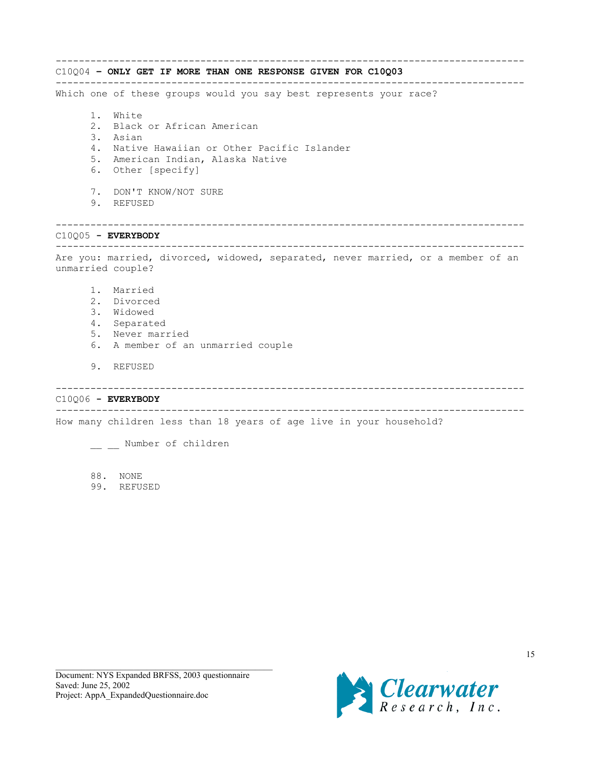--------------------------------------------------------------------------------- C10Q04 **– ONLY GET IF MORE THAN ONE RESPONSE GIVEN FOR C10Q03** --------------------------------------------------------------------------------- Which one of these groups would you say best represents your race? 1. White 2. Black or African American 3. Asian 4. Native Hawaiian or Other Pacific Islander 5. American Indian, Alaska Native 6. Other [specify] 7. DON'T KNOW/NOT SURE 9. REFUSED --------------------------------------------------------------------------------- C10Q05 **- EVERYBODY** --------------------------------------------------------------------------------- Are you: married, divorced, widowed, separated, never married, or a member of an unmarried couple? 1. Married 2. Divorced 3. Widowed 4. Separated 5. Never married 6. A member of an unmarried couple 9. REFUSED --------------------------------------------------------------------------------- C10Q06 **- EVERYBODY** --------------------------------------------------------------------------------- How many children less than 18 years of age live in your household?

\_\_ \_\_ Number of children

88. NONE 99. REFUSED

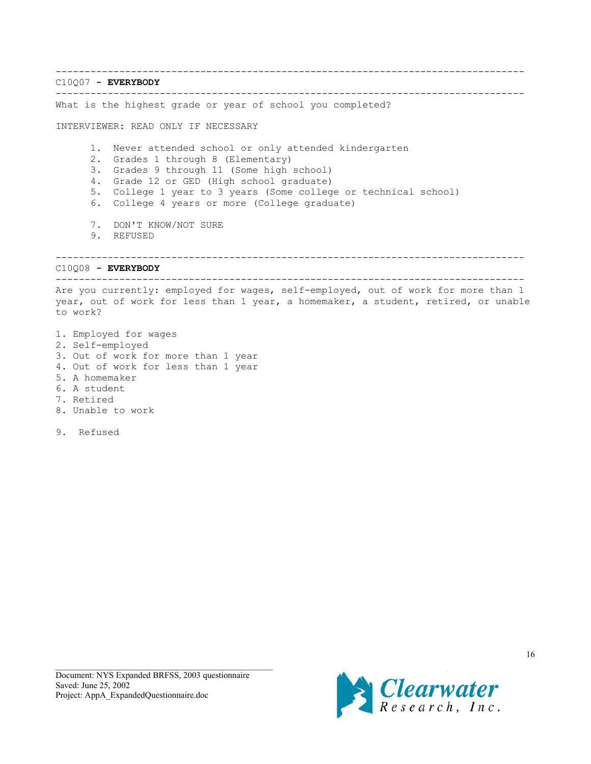--------------------------------------------------------------------------------- C10Q07 **- EVERYBODY** --------------------------------------------------------------------------------- What is the highest grade or year of school you completed? INTERVIEWER: READ ONLY IF NECESSARY 1. Never attended school or only attended kindergarten 2. Grades 1 through 8 (Elementary) 3. Grades 9 through 11 (Some high school) 4. Grade 12 or GED (High school graduate) 5. College 1 year to 3 years (Some college or technical school) 6. College 4 years or more (College graduate) 7. DON'T KNOW/NOT SURE 9. REFUSED --------------------------------------------------------------------------------- C10Q08 **- EVERYBODY** --------------------------------------------------------------------------------- Are you currently: employed for wages, self-employed, out of work for more than 1 year, out of work for less than 1 year, a homemaker, a student, retired, or unable to work? 1. Employed for wages 2. Self-employed 3. Out of work for more than 1 year 4. Out of work for less than 1 year 5. A homemaker 6. A student

- 7. Retired
- 8. Unable to work

9. Refused

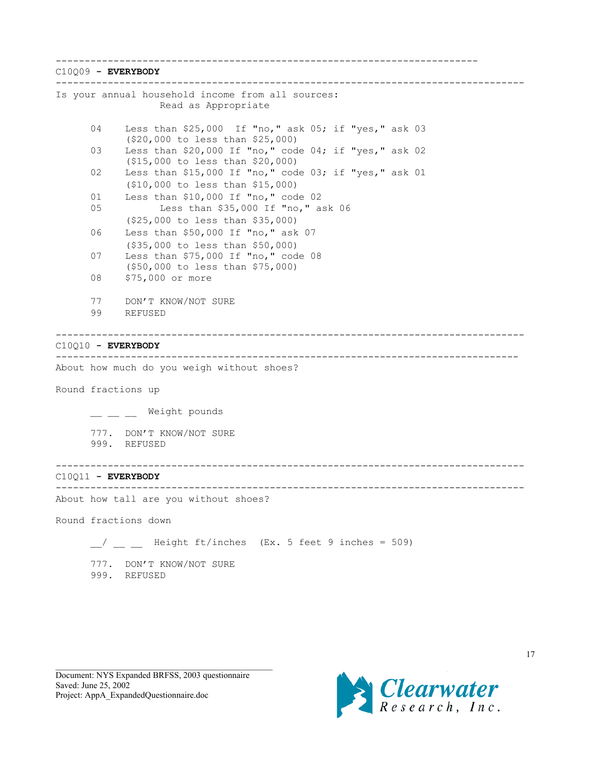-------------------------------------------------------------------------

C10Q09 **- EVERYBODY** --------------------------------------------------------------------------------- Is your annual household income from all sources: Read as Appropriate 04 Less than \$25,000 If "no," ask 05; if "yes," ask 03 (\$20,000 to less than \$25,000) 03 Less than \$20,000 If "no," code 04; if "yes," ask 02 (\$15,000 to less than \$20,000) 02 Less than \$15,000 If "no," code 03; if "yes," ask 01 (\$10,000 to less than \$15,000) 01 Less than \$10,000 If "no," code 02 05 Less than \$35,000 If "no," ask 06 (\$25,000 to less than \$35,000) 06 Less than \$50,000 If "no," ask 07 (\$35,000 to less than \$50,000) 07 Less than \$75,000 If "no," code 08 (\$50,000 to less than \$75,000) 08 \$75,000 or more 77 DON'T KNOW/NOT SURE 99 REFUSED --------------------------------------------------------------------------------- C10Q10 **- EVERYBODY** -------------------------------------------------------------------------------- About how much do you weigh without shoes? Round fractions up \_ \_ \_ Weight pounds 777. DON'T KNOW/NOT SURE 999. REFUSED --------------------------------------------------------------------------------- C10Q11 **- EVERYBODY** --------------------------------------------------------------------------------- About how tall are you without shoes? Round fractions down  $\frac{1}{2}$  \_ \_ Height ft/inches (Ex. 5 feet 9 inches = 509)

777. DON'T KNOW/NOT SURE 999. REFUSED

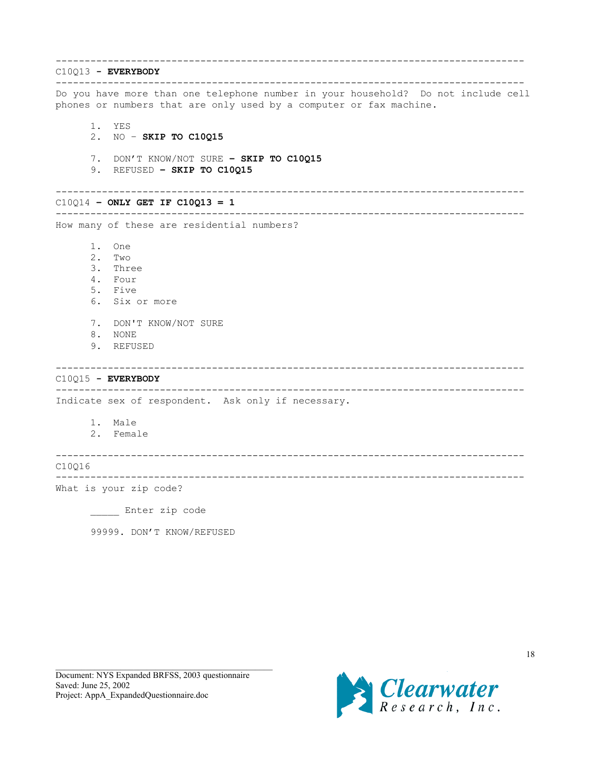--------------------------------------------------------------------------------- C10Q13 **- EVERYBODY** --------------------------------------------------------------------------------- Do you have more than one telephone number in your household? Do not include cell phones or numbers that are only used by a computer or fax machine. 1. YES 2. NO – **SKIP TO C10Q15** 7. DON'T KNOW/NOT SURE **– SKIP TO C10Q15** 9. REFUSED **– SKIP TO C10Q15** --------------------------------------------------------------------------------- C10Q14 **– ONLY GET IF C10Q13 = 1** --------------------------------------------------------------------------------- How many of these are residential numbers? 1. One 2. Two 3. Three 4. Four 5. Five 6. Six or more 7. DON'T KNOW/NOT SURE 8. NONE 9. REFUSED --------------------------------------------------------------------------------- C10Q15 **- EVERYBODY** --------------------------------------------------------------------------------- Indicate sex of respondent. Ask only if necessary. 1. Male 2. Female --------------------------------------------------------------------------------- C10Q16 --------------------------------------------------------------------------------- What is your zip code? Enter zip code

99999. DON'T KNOW/REFUSED

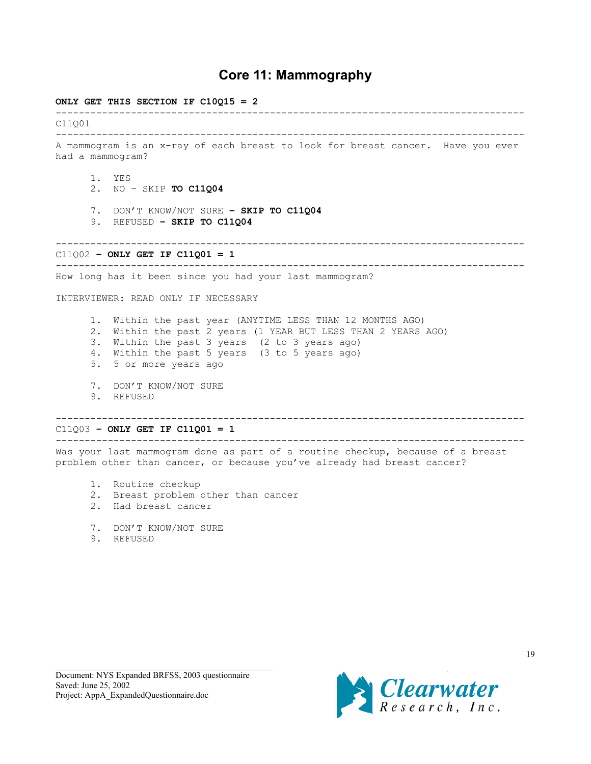# **Core 11: Mammography**

### <span id="page-18-0"></span>**ONLY GET THIS SECTION IF C10Q15 = 2**

--------------------------------------------------------------------------------- C11Q01 --------------------------------------------------------------------------------- A mammogram is an x-ray of each breast to look for breast cancer. Have you ever had a mammogram? 1. YES 2. NO – SKIP **TO C11Q04** 7. DON'T KNOW/NOT SURE **– SKIP TO C11Q04** 9. REFUSED **– SKIP TO C11Q04** --------------------------------------------------------------------------------- C11Q02 **– ONLY GET IF C11Q01 = 1** --------------------------------------------------------------------------------- How long has it been since you had your last mammogram? INTERVIEWER: READ ONLY IF NECESSARY 1. Within the past year (ANYTIME LESS THAN 12 MONTHS AGO) 2. Within the past 2 years (1 YEAR BUT LESS THAN 2 YEARS AGO) 3. Within the past 3 years (2 to 3 years ago) 4. Within the past 5 years (3 to 5 years ago) 5. 5 or more years ago 7. DON'T KNOW/NOT SURE 9. REFUSED --------------------------------------------------------------------------------- C11Q03 **– ONLY GET IF C11Q01 = 1** --------------------------------------------------------------------------------- Was your last mammogram done as part of a routine checkup, because of a breast

problem other than cancer, or because you've already had breast cancer?

- 1. Routine checkup
- 2. Breast problem other than cancer
- 2. Had breast cancer
- 7. DON'T KNOW/NOT SURE
- 9. REFUSED

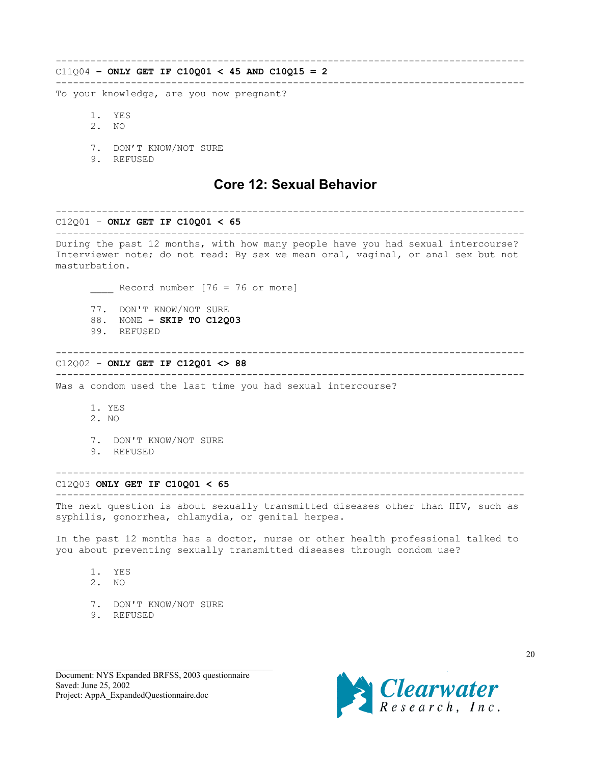## <span id="page-19-0"></span>C11Q04 **– ONLY GET IF C10Q01 < 45 AND C10Q15 = 2**

---------------------------------------------------------------------------------

---------------------------------------------------------------------------------

To your knowledge, are you now pregnant?

- 1. YES
- 2. NO
- 7. DON'T KNOW/NOT SURE
- 9. REFUSED

# **Core 12: Sexual Behavior**

#### C12Q01 – **ONLY GET IF C10Q01 < 65**

--------------------------------------------------------------------------------- During the past 12 months, with how many people have you had sexual intercourse? Interviewer note; do not read: By sex we mean oral, vaginal, or anal sex but not masturbation.

---------------------------------------------------------------------------------

\_\_\_\_ Record number [76 = 76 or more]

- 77. DON'T KNOW/NOT SURE
- 88. NONE  **SKIP TO C12Q03**
- 99. REFUSED

#### ---------------------------------------------------------------------------------

### C12Q02 – **ONLY GET IF C12Q01 <> 88**

---------------------------------------------------------------------------------

### Was a condom used the last time you had sexual intercourse?

- 1. YES
- 2. NO
- 7. DON'T KNOW/NOT SURE
- 9. REFUSED

#### C12Q03 **ONLY GET IF C10Q01 < 65**

--------------------------------------------------------------------------------- The next question is about sexually transmitted diseases other than HIV, such as

---------------------------------------------------------------------------------

syphilis, gonorrhea, chlamydia, or genital herpes.

In the past 12 months has a doctor, nurse or other health professional talked to you about preventing sexually transmitted diseases through condom use?

- 1. YES
- 2. NO
- 7. DON'T KNOW/NOT SURE
- 9. REFUSED

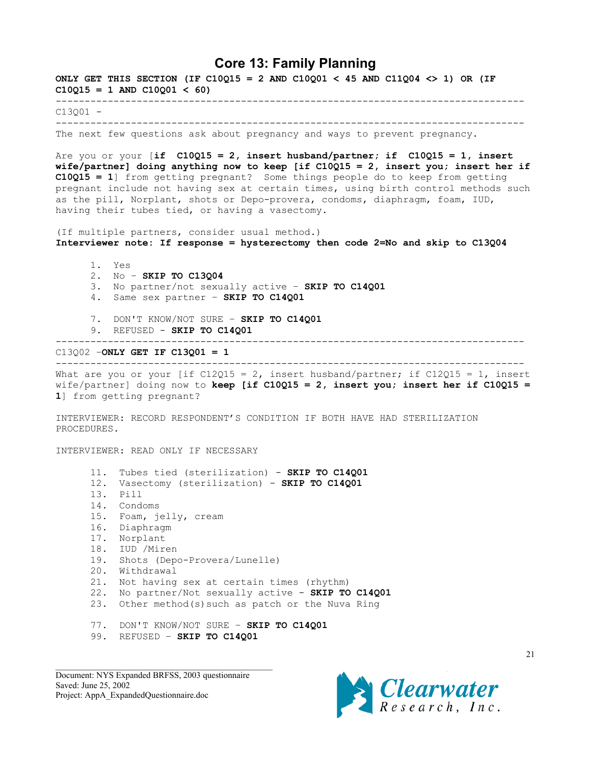## **Core 13: Family Planning**

<span id="page-20-0"></span>**ONLY GET THIS SECTION (IF C10Q15 = 2 AND C10Q01 < 45 AND C11Q04 <> 1) OR (IF**  $C10Q15 = 1$  AND  $C10Q01 < 60$ 

---------------------------------------------------------------------------------

 $C13Q01 -$ ---------------------------------------------------------------------------------

The next few questions ask about pregnancy and ways to prevent pregnancy.

Are you or your [**if C10Q15 = 2, insert husband/partner; if C10Q15 = 1, insert wife/partner] doing anything now to keep [if C10Q15 = 2, insert you; insert her if C10Q15 = 1**] from getting pregnant? Some things people do to keep from getting pregnant include not having sex at certain times, using birth control methods such as the pill, Norplant, shots or Depo-provera, condoms, diaphragm, foam, IUD, having their tubes tied, or having a vasectomy.

(If multiple partners, consider usual method.) **Interviewer note: If response = hysterectomy then code 2=No and skip to C13Q04**

1. Yes 2. No – **SKIP TO C13Q04** 3. No partner/not sexually active – **SKIP TO C14Q01** 4. Same sex partner – **SKIP TO C14Q01** 7. DON'T KNOW/NOT SURE – **SKIP TO C14Q01** 9. REFUSED - **SKIP TO C14Q01** --------------------------------------------------------------------------------- C13Q02 –**ONLY GET IF C13Q01 = 1**

--------------------------------------------------------------------------------- What are you or your [if C12015 = 2, insert husband/partner; if C12015 = 1, insert

wife/partner] doing now to **keep [if C10Q15 = 2, insert you; insert her if C10Q15 = 1**] from getting pregnant?

INTERVIEWER: RECORD RESPONDENT'S CONDITION IF BOTH HAVE HAD STERILIZATION PROCEDURES.

INTERVIEWER: READ ONLY IF NECESSARY

11. Tubes tied (sterilization) - **SKIP TO C14Q01** 12. Vasectomy (sterilization) - **SKIP TO C14Q01** 13. Pill 14. Condoms 15. Foam, jelly, cream 16. Diaphragm 17. Norplant 18. IUD /Miren 19. Shots (Depo-Provera/Lunelle) 20. Withdrawal 21. Not having sex at certain times (rhythm) 22. No partner/Not sexually active - **SKIP TO C14Q01** 23. Other method(s)such as patch or the Nuva Ring 77. DON'T KNOW/NOT SURE – **SKIP TO C14Q01**

99. REFUSED – **SKIP TO C14Q01**

Document: NYS Expanded BRFSS, 2003 questionnaire Saved: June 25, 2002 Project: AppA\_ExpandedQuestionnaire.doc



21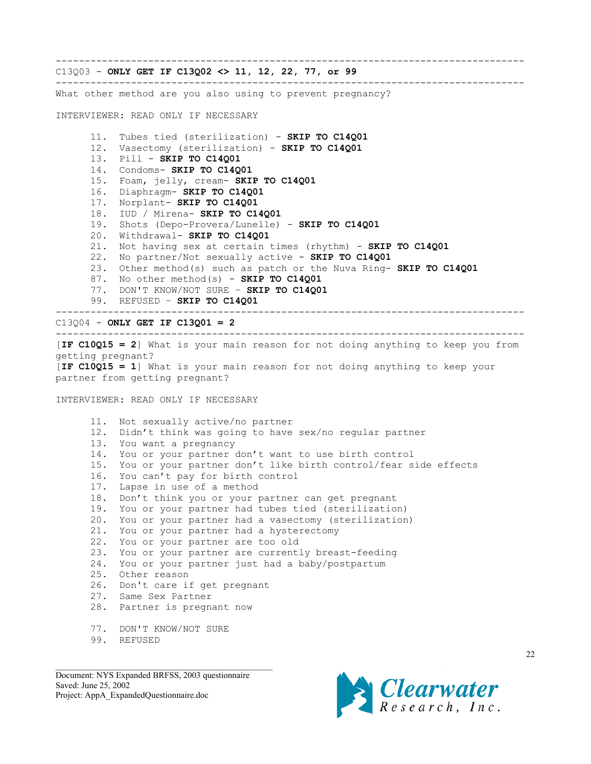---------------------------------------------------------------------------------

C13Q03 - **ONLY GET IF C13Q02 <> 11, 12, 22, 77, or 99** ---------------------------------------------------------------------------------

What other method are you also using to prevent pregnancy?

INTERVIEWER: READ ONLY IF NECESSARY

11. Tubes tied (sterilization) - **SKIP TO C14Q01** 12. Vasectomy (sterilization) - **SKIP TO C14Q01** 13. Pill - **SKIP TO C14Q01** 14. Condoms- **SKIP TO C14Q01** 15. Foam, jelly, cream- **SKIP TO C14Q01** 16. Diaphragm- **SKIP TO C14Q01** 17. Norplant- **SKIP TO C14Q01** 18. IUD / Mirena- **SKIP TO C14Q01** 19. Shots (Depo-Provera/Lunelle) - **SKIP TO C14Q01** 20. Withdrawal- **SKIP TO C14Q01** 21. Not having sex at certain times (rhythm) - **SKIP TO C14Q01** 22. No partner/Not sexually active - **SKIP TO C14Q01** 23. Other method(s) such as patch or the Nuva Ring- **SKIP TO C14Q01** 87. No other method(s) - **SKIP TO C14Q01** 77. DON'T KNOW/NOT SURE – **SKIP TO C14Q01** 99. REFUSED – **SKIP TO C14Q01** --------------------------------------------------------------------------------- C13Q04 - **ONLY GET IF C13Q01 = 2** ---------------------------------------------------------------------------------

[**IF C10Q15 = 2**] What is your main reason for not doing anything to keep you from getting pregnant? [**IF C10Q15 = 1**] What is your main reason for not doing anything to keep your partner from getting pregnant?

INTERVIEWER: READ ONLY IF NECESSARY

11. Not sexually active/no partner 12. Didn't think was going to have sex/no regular partner 13. You want a pregnancy 14. You or your partner don't want to use birth control 15. You or your partner don't like birth control/fear side effects 16. You can't pay for birth control 17. Lapse in use of a method 18. Don't think you or your partner can get pregnant 19. You or your partner had tubes tied (sterilization) 20. You or your partner had a vasectomy (sterilization) 21. You or your partner had a hysterectomy 22. You or your partner are too old 23. You or your partner are currently breast-feeding 24. You or your partner just had a baby/postpartum 25. Other reason 26. Don't care if get pregnant 27. Same Sex Partner 28. Partner is pregnant now 77. DON'T KNOW/NOT SURE 99. REFUSED

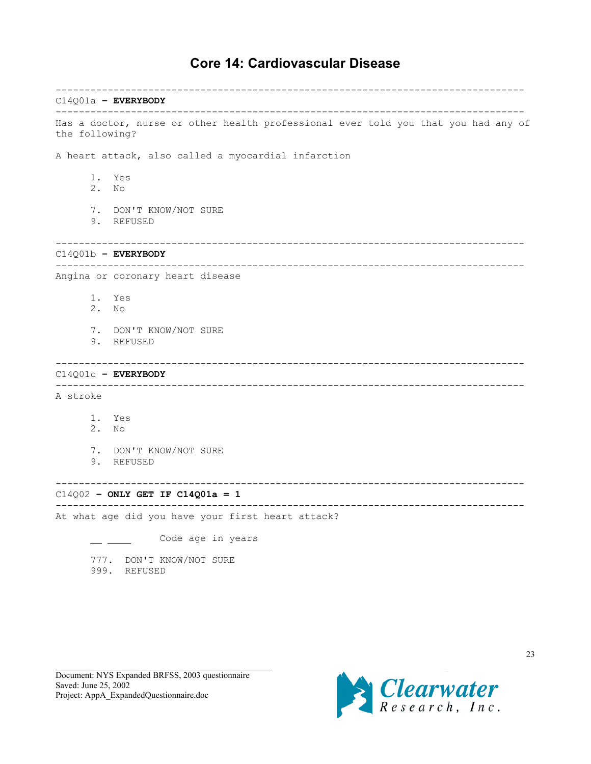# **Core 14: Cardiovascular Disease**

--------------------------------------------------------------------------------- C14Q01a **– EVERYBODY** --------------------------------------------------------------------------------- Has a doctor, nurse or other health professional ever told you that you had any of the following? A heart attack, also called a myocardial infarction 1. Yes 2. No 7. DON'T KNOW/NOT SURE 9. REFUSED --------------------------------------------------------------------------------- C14Q01b **– EVERYBODY** --------------------------------------------------------------------------------- Angina or coronary heart disease 1. Yes 2. No 7. DON'T KNOW/NOT SURE 9. REFUSED --------------------------------------------------------------------------------- C14Q01c **– EVERYBODY** --------------------------------------------------------------------------------- A stroke 1. Yes 2. No 7. DON'T KNOW/NOT SURE 9. REFUSED --------------------------------------------------------------------------------- C14Q02 **– ONLY GET IF C14Q01a = 1** --------------------------------------------------------------------------------- At what age did you have your first heart attack? \_ \_\_\_\_ Code age in years 777. DON'T KNOW/NOT SURE 999. REFUSED

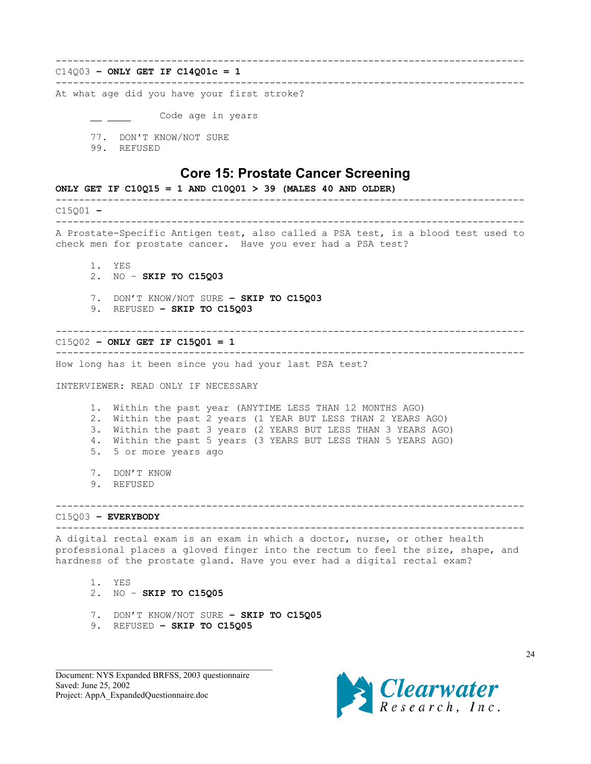#### <span id="page-23-0"></span>--------------------------------------------------------------------------------- C14Q03 **– ONLY GET IF C14Q01c = 1**

---------------------------------------------------------------------------------

At what age did you have your first stroke?

Code age in years

- 77. DON'T KNOW/NOT SURE
- 99. REFUSED

## **Core 15: Prostate Cancer Screening**

**ONLY GET IF C10Q15 = 1 AND C10Q01 > 39 (MALES 40 AND OLDER)** --------------------------------------------------------------------------------- C15Q01 **–** --------------------------------------------------------------------------------- A Prostate-Specific Antigen test, also called a PSA test, is a blood test used to check men for prostate cancer. Have you ever had a PSA test? 1. YES 2. NO – **SKIP TO C15Q03** 7. DON'T KNOW/NOT SURE **– SKIP TO C15Q03** 9. REFUSED **– SKIP TO C15Q03** --------------------------------------------------------------------------------- C15Q02 **– ONLY GET IF C15Q01 = 1** --------------------------------------------------------------------------------- How long has it been since you had your last PSA test? INTERVIEWER: READ ONLY IF NECESSARY 1. Within the past year (ANYTIME LESS THAN 12 MONTHS AGO) 2. Within the past 2 years (1 YEAR BUT LESS THAN 2 YEARS AGO) 3. Within the past 3 years (2 YEARS BUT LESS THAN 3 YEARS AGO) 4. Within the past 5 years (3 YEARS BUT LESS THAN 5 YEARS AGO) 5. 5 or more years ago 7. DON'T KNOW 9. REFUSED --------------------------------------------------------------------------------- C15Q03 **– EVERYBODY** --------------------------------------------------------------------------------- A digital rectal exam is an exam in which a doctor, nurse, or other health professional places a gloved finger into the rectum to feel the size, shape, and hardness of the prostate gland. Have you ever had a digital rectal exam? 1. YES 2. NO – **SKIP TO C15Q05** 7. DON'T KNOW/NOT SURE **– SKIP TO C15Q05** 9. REFUSED **– SKIP TO C15Q05**

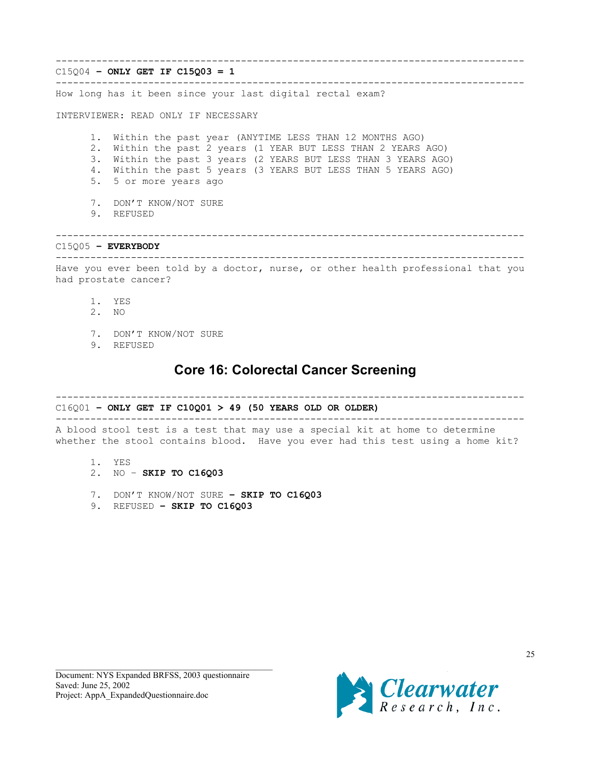<span id="page-24-0"></span>--------------------------------------------------------------------------------- C15Q04 **– ONLY GET IF C15Q03 = 1** --------------------------------------------------------------------------------- How long has it been since your last digital rectal exam? INTERVIEWER: READ ONLY IF NECESSARY 1. Within the past year (ANYTIME LESS THAN 12 MONTHS AGO) 2. Within the past 2 years (1 YEAR BUT LESS THAN 2 YEARS AGO) 3. Within the past 3 years (2 YEARS BUT LESS THAN 3 YEARS AGO) 4. Within the past 5 years (3 YEARS BUT LESS THAN 5 YEARS AGO) 5. 5 or more years ago 7. DON'T KNOW/NOT SURE 9. REFUSED --------------------------------------------------------------------------------- C15Q05 **– EVERYBODY** --------------------------------------------------------------------------------- Have you ever been told by a doctor, nurse, or other health professional that you had prostate cancer?

- 1. YES
- 2. NO
- 7. DON'T KNOW/NOT SURE
- 9. REFUSED

# **Core 16: Colorectal Cancer Screening**

---------------------------------------------------------------------------------

## C16Q01 **– ONLY GET IF C10Q01 > 49 (50 YEARS OLD OR OLDER)**

---------------------------------------------------------------------------------

A blood stool test is a test that may use a special kit at home to determine whether the stool contains blood. Have you ever had this test using a home kit?

- 1. YES
- 2. NO **SKIP TO C16Q03**
- 7. DON'T KNOW/NOT SURE **SKIP TO C16Q03**
- 9. REFUSED **SKIP TO C16Q03**

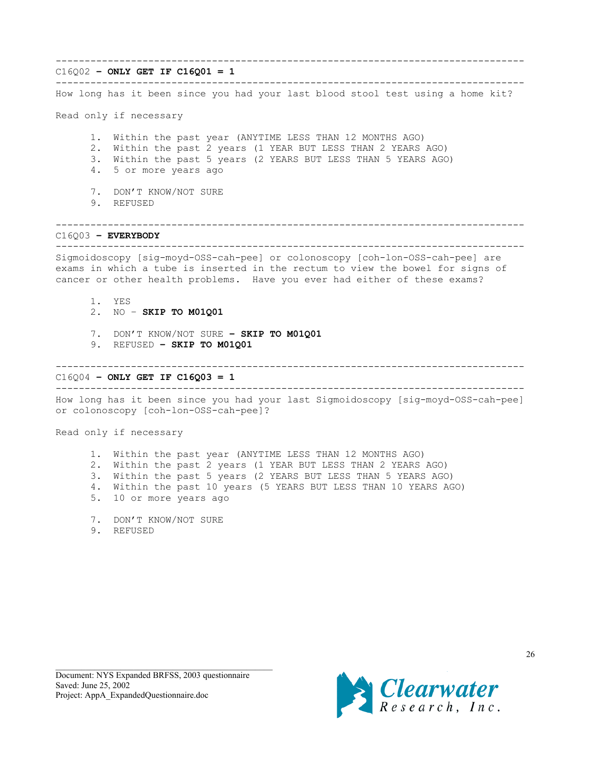#### ---------------------------------------------------------------------------------

### C16Q02 **– ONLY GET IF C16Q01 = 1**

--------------------------------------------------------------------------------- How long has it been since you had your last blood stool test using a home kit?

Read only if necessary

1. Within the past year (ANYTIME LESS THAN 12 MONTHS AGO)

- 2. Within the past 2 years (1 YEAR BUT LESS THAN 2 YEARS AGO)
- 3. Within the past 5 years (2 YEARS BUT LESS THAN 5 YEARS AGO)
- 4. 5 or more years ago
- 7. DON'T KNOW/NOT SURE
- 9. REFUSED

---------------------------------------------------------------------------------

## C16Q03 **– EVERYBODY**

--------------------------------------------------------------------------------- Sigmoidoscopy [sig-moyd-OSS-cah-pee] or colonoscopy [coh-lon-OSS-cah-pee] are exams in which a tube is inserted in the rectum to view the bowel for signs of cancer or other health problems. Have you ever had either of these exams?

- 1. YES
- 2. NO **SKIP TO M01Q01**
- 7. DON'T KNOW/NOT SURE **SKIP TO M01Q01**
- 9. REFUSED **SKIP TO M01Q01**

### ---------------------------------------------------------------------------------

C16Q04 **– ONLY GET IF C16Q03 = 1**

--------------------------------------------------------------------------------- How long has it been since you had your last Sigmoidoscopy [sig-moyd-OSS-cah-pee]

or colonoscopy [coh-lon-OSS-cah-pee]?

Read only if necessary

1. Within the past year (ANYTIME LESS THAN 12 MONTHS AGO) 2. Within the past 2 years (1 YEAR BUT LESS THAN 2 YEARS AGO) 3. Within the past 5 years (2 YEARS BUT LESS THAN 5 YEARS AGO) 4. Within the past 10 years (5 YEARS BUT LESS THAN 10 YEARS AGO) 5. 10 or more years ago

- 7. DON'T KNOW/NOT SURE
- 9. REFUSED

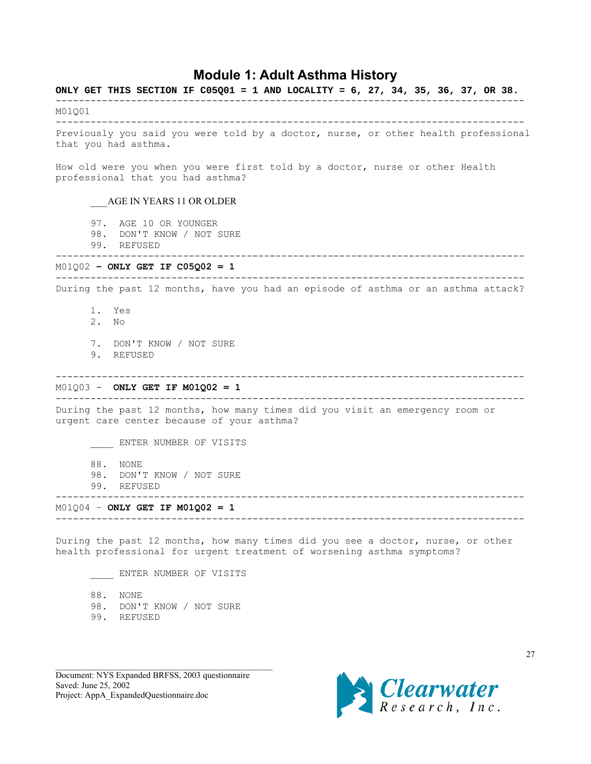# **Module 1: Adult Asthma History**

<span id="page-26-0"></span>**ONLY GET THIS SECTION IF C05Q01 = 1 AND LOCALITY = 6, 27, 34, 35, 36, 37, OR 38.** --------------------------------------------------------------------------------- M01Q01 --------------------------------------------------------------------------------- Previously you said you were told by a doctor, nurse, or other health professional that you had asthma. How old were you when you were first told by a doctor, nurse or other Health professional that you had asthma? \_\_\_AGE IN YEARS 11 OR OLDER 97. AGE 10 OR YOUNGER 98. DON'T KNOW / NOT SURE 99. REFUSED --------------------------------------------------------------------------------- M01Q02 **– ONLY GET IF C05Q02 = 1** --------------------------------------------------------------------------------- During the past 12 months, have you had an episode of asthma or an asthma attack? 1. Yes 2. No 7. DON'T KNOW / NOT SURE 9. REFUSED --------------------------------------------------------------------------------- M01Q03 - **ONLY GET IF M01Q02 = 1** --------------------------------------------------------------------------------- During the past 12 months, how many times did you visit an emergency room or urgent care center because of your asthma? \_\_\_\_ ENTER NUMBER OF VISITS 88. NONE 98. DON'T KNOW / NOT SURE 99. REFUSED --------------------------------------------------------------------------------- M01Q04 – **ONLY GET IF M01Q02 = 1** --------------------------------------------------------------------------------- During the past 12 months, how many times did you see a doctor, nurse, or other health professional for urgent treatment of worsening asthma symptoms? ENTER NUMBER OF VISITS 88. NONE 98. DON'T KNOW / NOT SURE

99. REFUSED

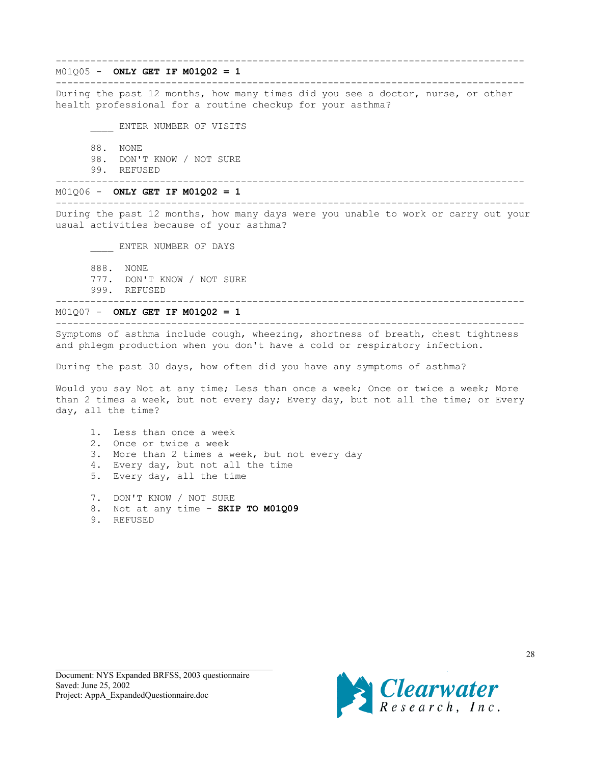M01Q05 - **ONLY GET IF M01Q02 = 1**

---------------------------------------------------------------------------------

---------------------------------------------------------------------------------

During the past 12 months, how many times did you see a doctor, nurse, or other health professional for a routine checkup for your asthma?

\_\_\_\_ ENTER NUMBER OF VISITS

88. NONE

98. DON'T KNOW / NOT SURE

99. REFUSED

---------------------------------------------------------------------------------

M01Q06 - **ONLY GET IF M01Q02 = 1** ---------------------------------------------------------------------------------

During the past 12 months, how many days were you unable to work or carry out your usual activities because of your asthma?

\_\_\_\_ ENTER NUMBER OF DAYS

888. NONE 777. DON'T KNOW / NOT SURE 999. REFUSED

---------------------------------------------------------------------------------

M01Q07 - **ONLY GET IF M01Q02 = 1**

--------------------------------------------------------------------------------- Symptoms of asthma include cough, wheezing, shortness of breath, chest tightness and phlegm production when you don't have a cold or respiratory infection.

During the past 30 days, how often did you have any symptoms of asthma?

Would you say Not at any time; Less than once a week; Once or twice a week; More than 2 times a week, but not every day; Every day, but not all the time; or Every day, all the time?

1. Less than once a week 2. Once or twice a week 3. More than 2 times a week, but not every day 4. Every day, but not all the time 5. Every day, all the time

7. DON'T KNOW / NOT SURE

8. Not at any time – **SKIP TO M01Q09**

9. REFUSED

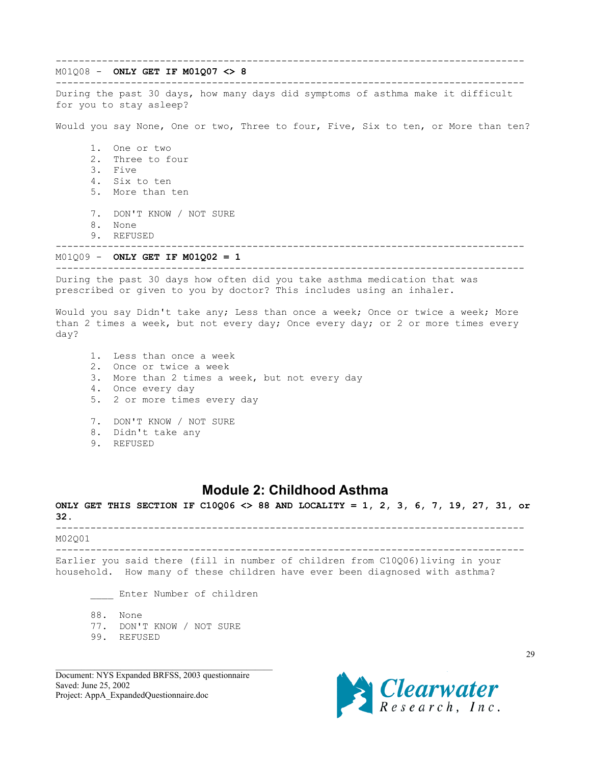<span id="page-28-0"></span>--------------------------------------------------------------------------------- M01Q08 - **ONLY GET IF M01Q07 <> 8** --------------------------------------------------------------------------------- During the past 30 days, how many days did symptoms of asthma make it difficult for you to stay asleep? Would you say None, One or two, Three to four, Five, Six to ten, or More than ten? 1. One or two 2. Three to four 3. Five 4. Six to ten 5. More than ten 7. DON'T KNOW / NOT SURE 8. None 9. REFUSED --------------------------------------------------------------------------------- M01Q09 - **ONLY GET IF M01Q02 = 1** --------------------------------------------------------------------------------- During the past 30 days how often did you take asthma medication that was prescribed or given to you by doctor? This includes using an inhaler. Would you say Didn't take any; Less than once a week; Once or twice a week; More than 2 times a week, but not every day; Once every day; or 2 or more times every day? 1. Less than once a week 2. Once or twice a week

3. More than 2 times a week, but not every day

4. Once every day

5. 2 or more times every day

7. DON'T KNOW / NOT SURE

- 8. Didn't take any
- 9. REFUSED

# **Module 2: Childhood Asthma**

**ONLY GET THIS SECTION IF C10Q06 <> 88 AND LOCALITY = 1, 2, 3, 6, 7, 19, 27, 31, or 32.** --------------------------------------------------------------------------------- M02Q01 --------------------------------------------------------------------------------- Earlier you said there (fill in number of children from C10Q06)living in your household. How many of these children have ever been diagnosed with asthma?

\_\_\_\_ Enter Number of children

88. None

77. DON'T KNOW / NOT SURE

99. REFUSED

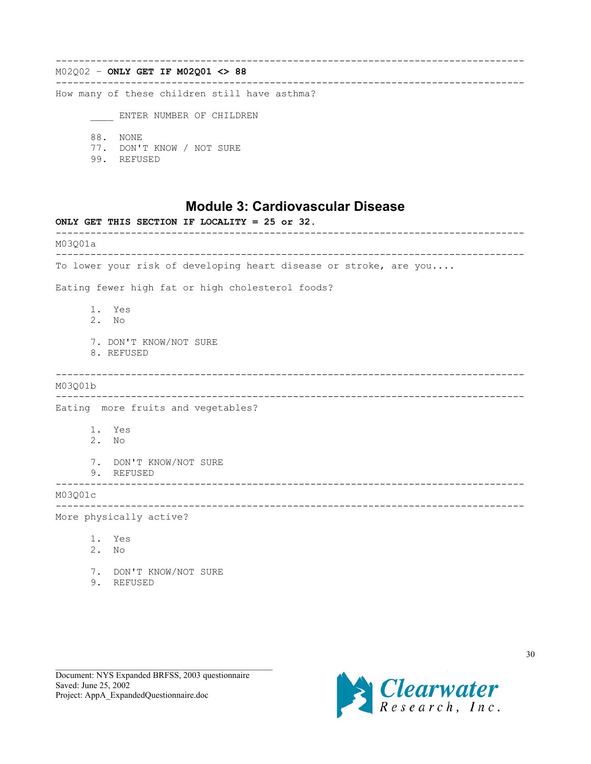<span id="page-29-0"></span>--------------------------------------------------------------------------------- M02Q02 – **ONLY GET IF M02Q01 <> 88** --------------------------------------------------------------------------------- How many of these children still have asthma? \_\_\_\_ ENTER NUMBER OF CHILDREN 88. NONE

- 77. DON'T KNOW / NOT SURE
- 99. REFUSED

## **Module 3: Cardiovascular Disease**

**ONLY GET THIS SECTION IF LOCALITY = 25 or 32.** --------------------------------------------------------------------------------- M03Q01a --------------------------------------------------------------------------------- To lower your risk of developing heart disease or stroke, are you.... Eating fewer high fat or high cholesterol foods? 1. Yes 2. No 7. DON'T KNOW/NOT SURE 8. REFUSED --------------------------------------------------------------------------------- M03Q01b --------------------------------------------------------------------------------- Eating more fruits and vegetables? 1. Yes 2. No 7. DON'T KNOW/NOT SURE 9. REFUSED --------------------------------------------------------------------------------- M03Q01c --------------------------------------------------------------------------------- More physically active? 1. Yes 2. No 7. DON'T KNOW/NOT SURE 9. REFUSED

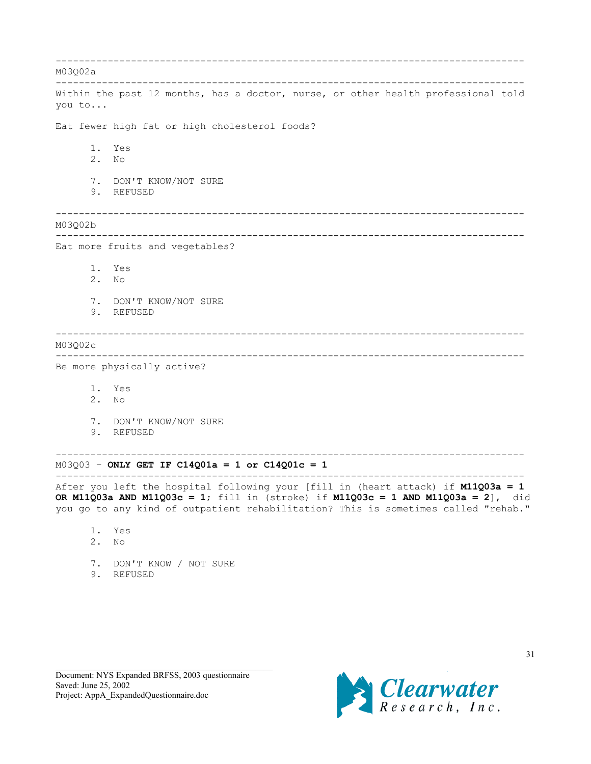--------------------------------------------------------------------------------- M03Q02a --------------------------------------------------------------------------------- Within the past 12 months, has a doctor, nurse, or other health professional told you to... Eat fewer high fat or high cholesterol foods? 1. Yes 2. No 7. DON'T KNOW/NOT SURE 9. REFUSED --------------------------------------------------------------------------------- M03Q02b --------------------------------------------------------------------------------- Eat more fruits and vegetables? 1. Yes 2. No 7. DON'T KNOW/NOT SURE 9. REFUSED --------------------------------------------------------------------------------- M03Q02c --------------------------------------------------------------------------------- Be more physically active? 1. Yes 2. No 7. DON'T KNOW/NOT SURE 9. REFUSED --------------------------------------------------------------------------------- M03Q03 – **ONLY GET IF C14Q01a = 1 or C14Q01c = 1** --------------------------------------------------------------------------------- After you left the hospital following your [fill in (heart attack) if **M11Q03a = 1 OR M11Q03a AND M11Q03c = 1**; fill in (stroke) if **M11Q03c = 1 AND M11Q03a = 2**], did you go to any kind of outpatient rehabilitation? This is sometimes called "rehab." 1. Yes 2. No

7. DON'T KNOW / NOT SURE

9. REFUSED

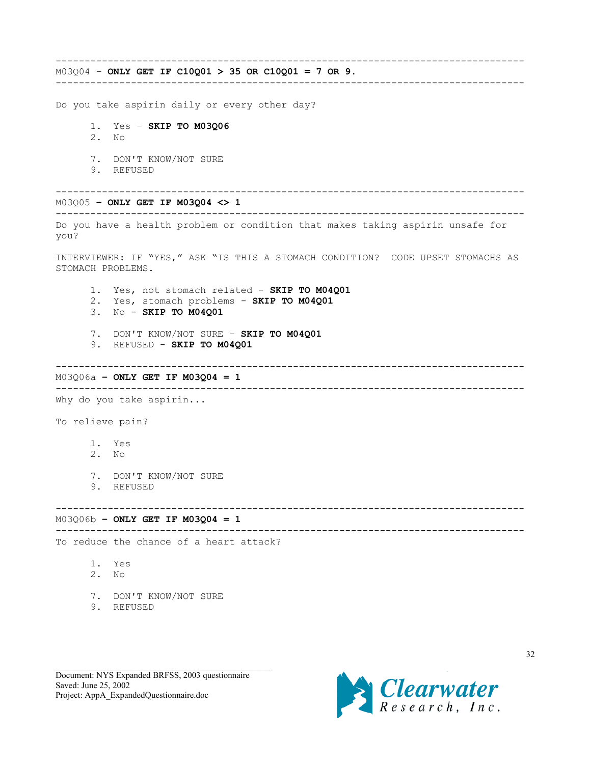--------------------------------------------------------------------------------- M03Q04 – **ONLY GET IF C10Q01 > 35 OR C10Q01 = 7 OR 9.**

---------------------------------------------------------------------------------

Do you take aspirin daily or every other day?

1. Yes – **SKIP TO M03Q06**

- 2. No
- 7. DON'T KNOW/NOT SURE
- 9. REFUSED

--------------------------------------------------------------------------------- M03Q05 **– ONLY GET IF M03Q04 <> 1**

### ---------------------------------------------------------------------------------

Do you have a health problem or condition that makes taking aspirin unsafe for you?

INTERVIEWER: IF "YES," ASK "IS THIS A STOMACH CONDITION? CODE UPSET STOMACHS AS STOMACH PROBLEMS.

- 1. Yes, not stomach related **SKIP TO M04Q01**
- 2. Yes, stomach problems **SKIP TO M04Q01**
- 3. No **SKIP TO M04Q01**
- 7. DON'T KNOW/NOT SURE **SKIP TO M04Q01**
- 9. REFUSED **SKIP TO M04Q01**

---------------------------------------------------------------------------------

M03Q06a **– ONLY GET IF M03Q04 = 1** ---------------------------------------------------------------------------------

Why do you take aspirin...

To relieve pain?

- 1. Yes
- 2. No
- 7. DON'T KNOW/NOT SURE
- 9. REFUSED

M03Q06b **– ONLY GET IF M03Q04 = 1**

---------------------------------------------------------------------------------

---------------------------------------------------------------------------------

To reduce the chance of a heart attack?

- 1. Yes
- 2. No
- 7. DON'T KNOW/NOT SURE
- 9. REFUSED

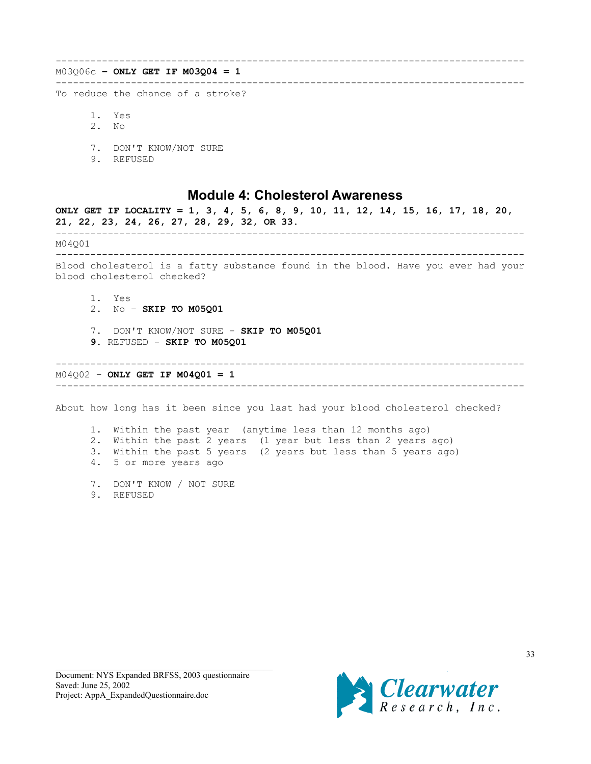<span id="page-32-0"></span>--------------------------------------------------------------------------------- M03Q06c **– ONLY GET IF M03Q04 = 1** --------------------------------------------------------------------------------- To reduce the chance of a stroke?

- 1. Yes 2. No
- 7. DON'T KNOW/NOT SURE
- 9. REFUSED

## **Module 4: Cholesterol Awareness**

**ONLY GET IF LOCALITY = 1, 3, 4, 5, 6, 8, 9, 10, 11, 12, 14, 15, 16, 17, 18, 20, 21, 22, 23, 24, 26, 27, 28, 29, 32, OR 33.** --------------------------------------------------------------------------------- M04Q01 –-------------------------------------------------------------------------------- Blood cholesterol is a fatty substance found in the blood. Have you ever had your blood cholesterol checked? 1. Yes 2. No – **SKIP TO M05Q01** 7. DON'T KNOW/NOT SURE - **SKIP TO M05Q01 9.** REFUSED - **SKIP TO M05Q01** --------------------------------------------------------------------------------- M04Q02 – **ONLY GET IF M04Q01 = 1** –-------------------------------------------------------------------------------- About how long has it been since you last had your blood cholesterol checked? 1. Within the past year (anytime less than 12 months ago) 2. Within the past 2 years (1 year but less than 2 years ago)

3. Within the past 5 years (2 years but less than 5 years ago) 4. 5 or more years ago

- 7. DON'T KNOW / NOT SURE
- 9. REFUSED

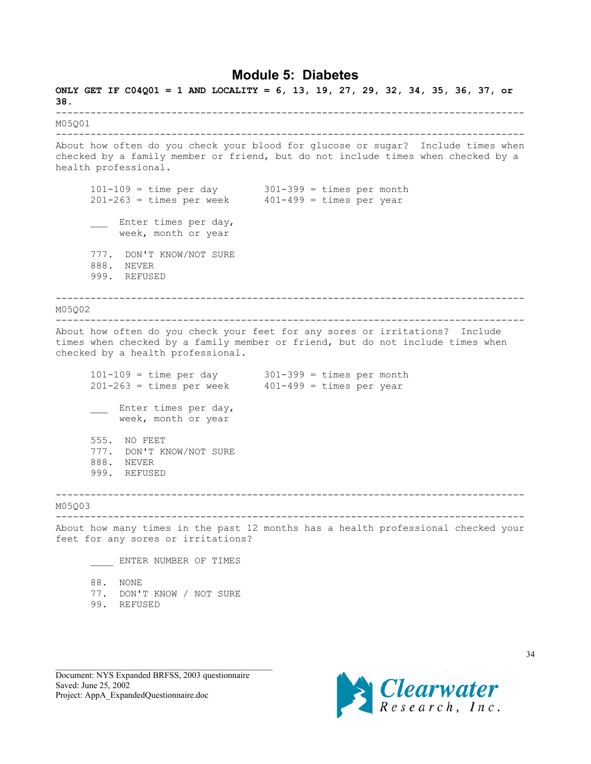## **Module 5: Diabetes**

<span id="page-33-0"></span>**ONLY GET IF C04Q01 = 1 AND LOCALITY = 6, 13, 19, 27, 29, 32, 34, 35, 36, 37, or 38.** --------------------------------------------------------------------------------- M05Q01 --------------------------------------------------------------------------------- About how often do you check your blood for glucose or sugar? Include times when checked by a family member or friend, but do not include times when checked by a health professional. 101-109 = time per day 301-399 = times per month 201-263 = times per week 401-499 = times per year \_\_\_\_ Enter times per day, week, month or year 777. DON'T KNOW/NOT SURE 888. NEVER 999. REFUSED --------------------------------------------------------------------------------- M05Q02 --------------------------------------------------------------------------------- About how often do you check your feet for any sores or irritations? Include times when checked by a family member or friend, but do not include times when checked by a health professional.  $101-109$  = time per day  $301-399$  = times per month  $201-263$  = times per week  $401-499$  = times per year \_\_\_ Enter times per day, week, month or year 555. NO FEET 777. DON'T KNOW/NOT SURE 888. NEVER 999. REFUSED --------------------------------------------------------------------------------- M05Q03 --------------------------------------------------------------------------------- About how many times in the past 12 months has a health professional checked your feet for any sores or irritations? ENTER NUMBER OF TIMES 88. NONE 77. DON'T KNOW / NOT SURE 99. REFUSED

Document: NYS Expanded BRFSS, 2003 questionnaire Saved: June 25, 2002 Project: AppA\_ExpandedQuestionnaire.doc



34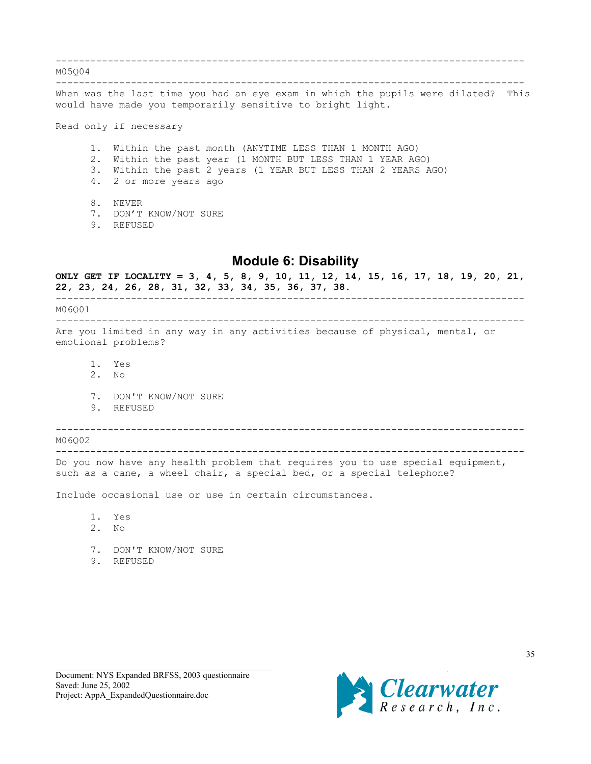<span id="page-34-0"></span>--------------------------------------------------------------------------------- M05Q04 --------------------------------------------------------------------------------- When was the last time you had an eye exam in which the pupils were dilated? This would have made you temporarily sensitive to bright light. Read only if necessary 1. Within the past month (ANYTIME LESS THAN 1 MONTH AGO) 2. Within the past year (1 MONTH BUT LESS THAN 1 YEAR AGO) 3. Within the past 2 years (1 YEAR BUT LESS THAN 2 YEARS AGO) 4. 2 or more years ago

8. NEVER

7. DON'T KNOW/NOT SURE

9. REFUSED

# **Module 6: Disability**

**ONLY GET IF LOCALITY = 3, 4, 5, 8, 9, 10, 11, 12, 14, 15, 16, 17, 18, 19, 20, 21, 22, 23, 24, 26, 28, 31, 32, 33, 34, 35, 36, 37, 38.** ---------------------------------------------------------------------------------

M06Q01

--------------------------------------------------------------------------------- Are you limited in any way in any activities because of physical, mental, or emotional problems?

- 1. Yes
- 2. No
- 7. DON'T KNOW/NOT SURE
- 9. REFUSED

---------------------------------------------------------------------------------

M06002 ---------------------------------------------------------------------------------

Do you now have any health problem that requires you to use special equipment, such as a cane, a wheel chair, a special bed, or a special telephone?

Include occasional use or use in certain circumstances.

1. Yes

- 2. No
- 7. DON'T KNOW/NOT SURE
- 9. REFUSED

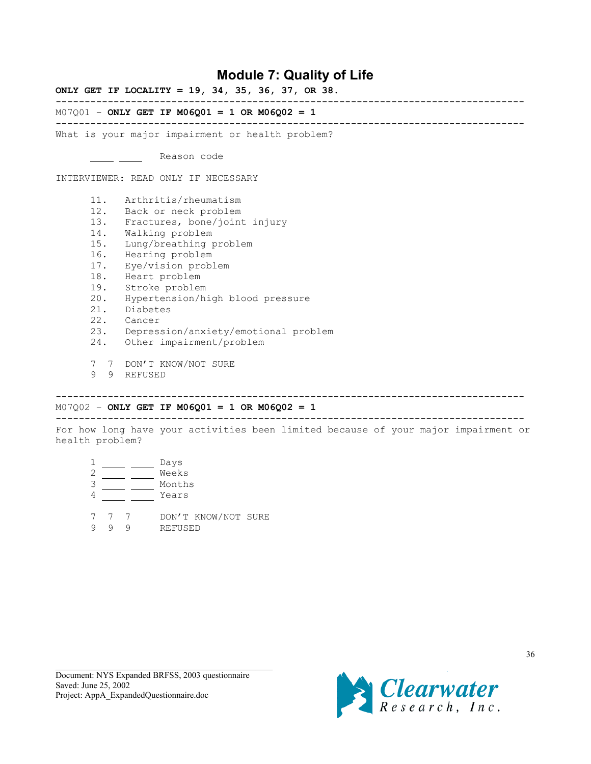# **Module 7: Quality of Life**

<span id="page-35-0"></span>**ONLY GET IF LOCALITY = 19, 34, 35, 36, 37, OR 38.**

---------------------------------------------------------------------------------

---------------------------------------------------------------------------------

## M07Q01 – **ONLY GET IF M06Q01 = 1 OR M06Q02 = 1**

What is your major impairment or health problem?

- Reason code

INTERVIEWER: READ ONLY IF NECESSARY

- 11. Arthritis/rheumatism
- 12. Back or neck problem
- 13. Fractures, bone/joint injury
- 14. Walking problem
- 15. Lung/breathing problem
- 16. Hearing problem
- 17. Eye/vision problem
- 18. Heart problem
- 19. Stroke problem
- 20. Hypertension/high blood pressure<br>21. Diabetes
- Diabetes
- 22. Cancer
- 23. Depression/anxiety/emotional problem
- 24. Other impairment/problem
- 7 7 DON'T KNOW/NOT SURE
- 9 9 REFUSED

## M07Q02 – **ONLY GET IF M06Q01 = 1 OR M06Q02 = 1**

---------------------------------------------------------------------------------

For how long have your activities been limited because of your major impairment or health problem?

---------------------------------------------------------------------------------

- 1 \_\_\_\_\_ \_\_\_\_ Days 2 \_\_\_\_\_ \_\_\_\_ Weeks 3 Months
- 4 Years
- 7 7 7 DON'T KNOW/NOT SURE 9 9 9 REFUSED

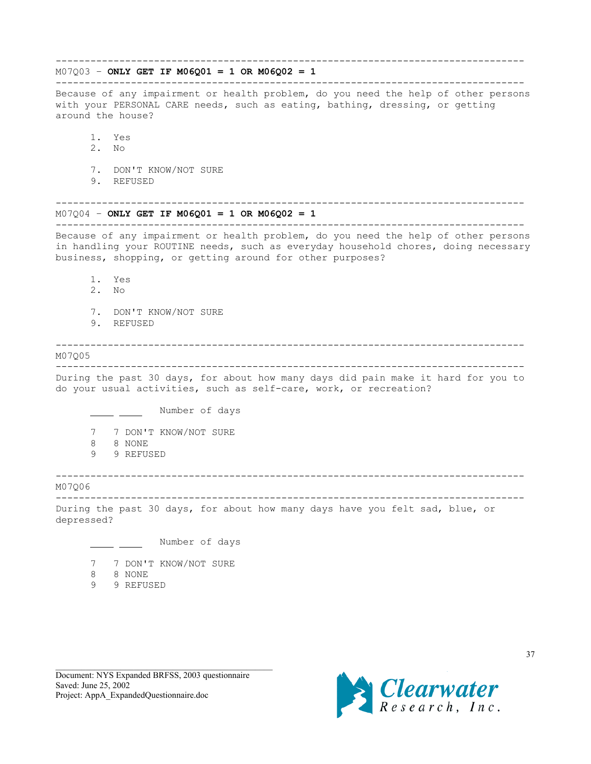# --------------------------------------------------------------------------------- M07Q03 – **ONLY GET IF M06Q01 = 1 OR M06Q02 = 1** --------------------------------------------------------------------------------- Because of any impairment or health problem, do you need the help of other persons with your PERSONAL CARE needs, such as eating, bathing, dressing, or getting around the house? 1. Yes 2. No 7. DON'T KNOW/NOT SURE 9. REFUSED --------------------------------------------------------------------------------- M07Q04 – **ONLY GET IF M06Q01 = 1 OR M06Q02 = 1** --------------------------------------------------------------------------------- Because of any impairment or health problem, do you need the help of other persons in handling your ROUTINE needs, such as everyday household chores, doing necessary business, shopping, or getting around for other purposes? 1. Yes 2. No 7. DON'T KNOW/NOT SURE 9. REFUSED --------------------------------------------------------------------------------- M07Q05 --------------------------------------------------------------------------------- During the past 30 days, for about how many days did pain make it hard for you to do your usual activities, such as self-care, work, or recreation? Number of days 7 7 DON'T KNOW/NOT SURE 8 8 NONE 9 9 REFUSED --------------------------------------------------------------------------------- M07Q06 --------------------------------------------------------------------------------- During the past 30 days, for about how many days have you felt sad, blue, or depressed? Number of days 7 7 DON'T KNOW/NOT SURE 8 8 NONE 9 9 REFUSED

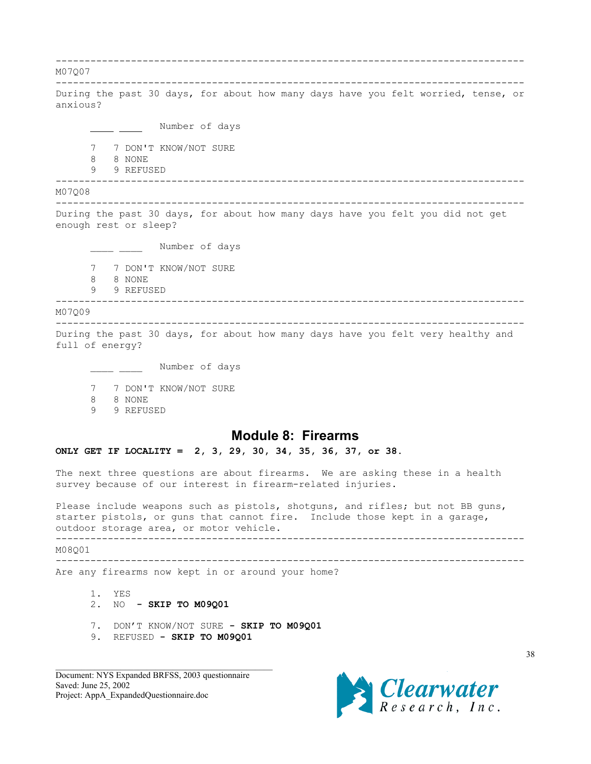<span id="page-37-0"></span>--------------------------------------------------------------------------------- M07Q07 --------------------------------------------------------------------------------- During the past 30 days, for about how many days have you felt worried, tense, or anxious? - Number of days 7 7 DON'T KNOW/NOT SURE 8 8 NONE 9 9 REFUSED --------------------------------------------------------------------------------- M07Q08 --------------------------------------------------------------------------------- During the past 30 days, for about how many days have you felt you did not get enough rest or sleep? \_\_\_\_\_ \_\_\_\_\_ Number of days 7 7 DON'T KNOW/NOT SURE 8 8 NONE 9 9 REFUSED --------------------------------------------------------------------------------- M07Q09 --------------------------------------------------------------------------------- During the past 30 days, for about how many days have you felt very healthy and full of energy? Number of days 7 7 DON'T KNOW/NOT SURE 8 8 NONE 9 9 REFUSED **Module 8: Firearms ONLY GET IF LOCALITY = 2, 3, 29, 30, 34, 35, 36, 37, or 38.** The next three questions are about firearms. We are asking these in a health survey because of our interest in firearm-related injuries. Please include weapons such as pistols, shotguns, and rifles; but not BB guns, starter pistols, or guns that cannot fire. Include those kept in a garage, outdoor storage area, or motor vehicle. ---------------------------------------------------------------------------------

M08Q01

--------------------------------------------------------------------------------- Are any firearms now kept in or around your home?

- 1. YES 2. NO **- SKIP TO M09Q01**
- 7. DON'T KNOW/NOT SURE  **SKIP TO M09Q01**
- 9. REFUSED  **SKIP TO M09Q01**

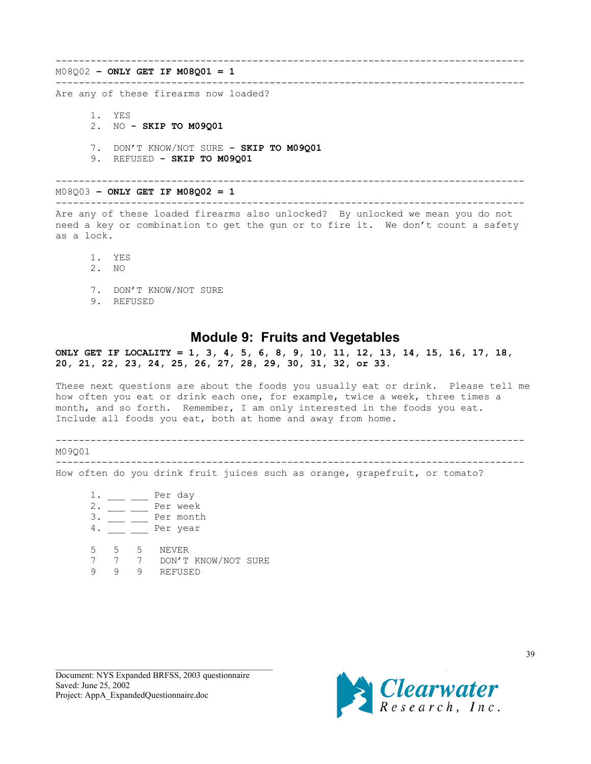### <span id="page-38-0"></span>M08Q02 **– ONLY GET IF M08Q01 = 1**

### ---------------------------------------------------------------------------------

Are any of these firearms now loaded?

- 1. YES
- 2. NO  **SKIP TO M09Q01**
- 7. DON'T KNOW/NOT SURE  **SKIP TO M09Q01**
- 9. REFUSED  **SKIP TO M09Q01**

---------------------------------------------------------------------------------

---------------------------------------------------------------------------------

#### M08Q03 **– ONLY GET IF M08Q02 = 1** ---------------------------------------------------------------------------------

Are any of these loaded firearms also unlocked? By unlocked we mean you do not need a key or combination to get the gun or to fire it. We don't count a safety as a lock.

- 1. YES
- 2. NO
- 7. DON'T KNOW/NOT SURE
- 9. REFUSED

## **Module 9: Fruits and Vegetables**

### **ONLY GET IF LOCALITY = 1, 3, 4, 5, 6, 8, 9, 10, 11, 12, 13, 14, 15, 16, 17, 18, 20, 21, 22, 23, 24, 25, 26, 27, 28, 29, 30, 31, 32, or 33.**

These next questions are about the foods you usually eat or drink. Please tell me how often you eat or drink each one, for example, twice a week, three times a month, and so forth. Remember, I am only interested in the foods you eat. Include all foods you eat, both at home and away from home.

---------------------------------------------------------------------------------

M09Q01

---------------------------------------------------------------------------------

How often do you drink fruit juices such as orange, grapefruit, or tomato?

 $1.$   $\qquad \qquad$  Per day 2. \_\_\_ \_\_ Per week  $\frac{3}{4}$   $\frac{2}{1}$  Per month  $4.$   $\frac{ }{}$  Per year 5 5 5 NEVER 7 7 7 DON'T KNOW/NOT SURE 9 9 9 REFUSED

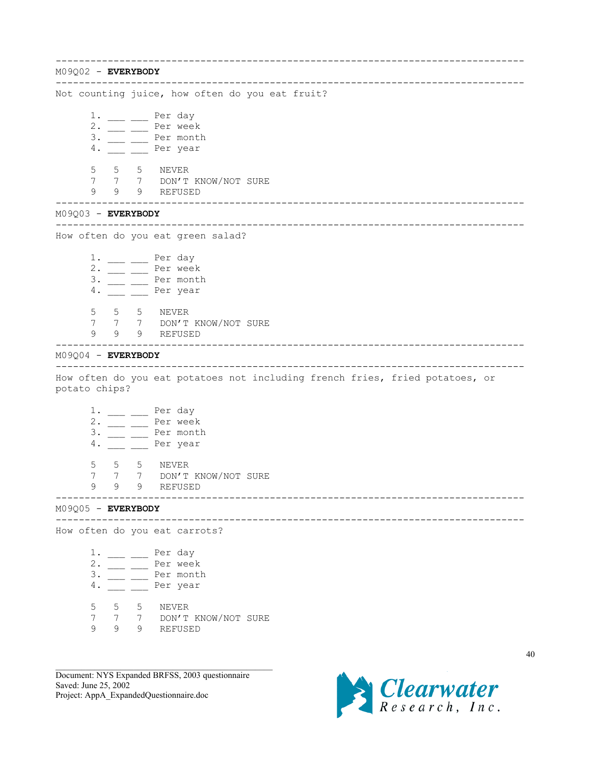--------------------------------------------------------------------------------- M09Q02 - **EVERYBODY** --------------------------------------------------------------------------------- Not counting juice, how often do you eat fruit?  $1.$  \_\_\_ \_\_ Per day 2. \_\_\_ \_\_ Per week  $3.$   $\frac{1}{\sqrt{2}}$  Per month 4. Per year 5 5 5 NEVER 7 7 7 DON'T KNOW/NOT SURE 9 9 9 REFUSED --------------------------------------------------------------------------------- M09Q03 - **EVERYBODY** --------------------------------------------------------------------------------- How often do you eat green salad?  $1.$   $\_\_\_\_\_\_\_\_\_\_\$  Per day  $2. \frac{\ }{\ }$  Per week  $3.$   $\frac{1}{2}$   $\frac{1}{2}$  Per month 4. \_\_ \_ \_ Per year 5 5 5 NEVER 7 7 7 DON'T KNOW/NOT SURE 9 9 9 REFUSED --------------------------------------------------------------------------------- M09Q04 - **EVERYBODY** --------------------------------------------------------------------------------- How often do you eat potatoes not including french fries, fried potatoes, or potato chips?  $1.$   $\_\_$   $\_\_$  Per day  $2.$   $\frac{\ }{\ }$  Per week 3. \_\_\_ \_\_ Per month 4. Per year 5 5 5 NEVER 7 7 7 DON'T KNOW/NOT SURE 9 9 9 REFUSED --------------------------------------------------------------------------------- M09Q05 - **EVERYBODY** --------------------------------------------------------------------------------- How often do you eat carrots?  $\frac{1}{2}$ . \_\_\_ \_\_ Per day 2. Per week 3. \_\_\_ \_\_ Per month 4. \_\_\_ \_\_ Per year 5 5 5 NEVER 7 7 7 DON'T KNOW/NOT SURE 9 9 9 REFUSED

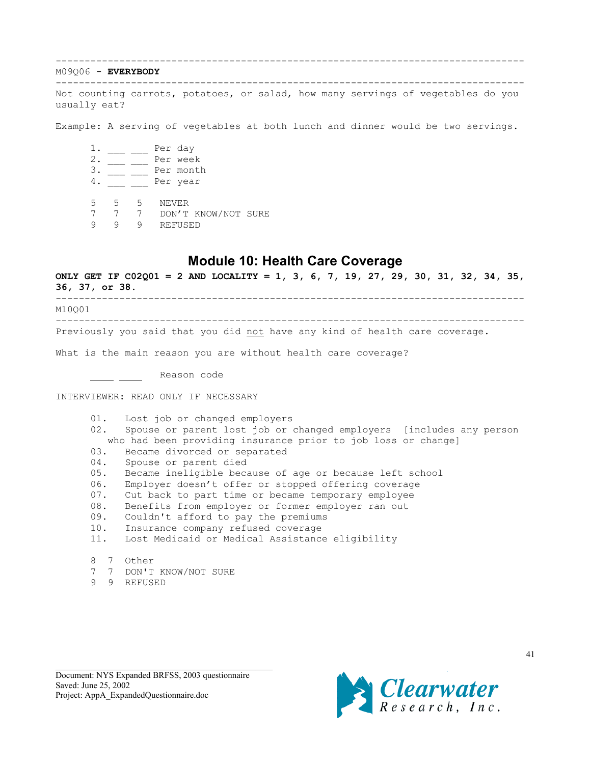## <span id="page-40-0"></span>M09Q06 - **EVERYBODY**

--------------------------------------------------------------------------------- Not counting carrots, potatoes, or salad, how many servings of vegetables do you usually eat?

---------------------------------------------------------------------------------

Example: A serving of vegetables at both lunch and dinner would be two servings.

 $1.$   $\frac{1}{1}$   $\frac{1}{1}$   $\frac{1}{1}$   $\frac{1}{1}$   $\frac{1}{1}$   $\frac{1}{1}$   $\frac{1}{1}$   $\frac{1}{1}$   $\frac{1}{1}$   $\frac{1}{1}$   $\frac{1}{1}$   $\frac{1}{1}$   $\frac{1}{1}$   $\frac{1}{1}$   $\frac{1}{1}$   $\frac{1}{1}$   $\frac{1}{1}$   $\frac{1}{1}$   $\frac{1}{1}$   $\frac{1}{1}$   $\frac{1}{1}$   $\frac{1}{$ 2. \_\_\_ \_\_ Per week  $3. \underline{\hspace{1cm}}$  Per month 4. \_\_\_ \_\_ Per year

5 5 5 NEVER

7 7 7 DON'T KNOW/NOT SURE

9 9 9 REFUSED

# **Module 10: Health Care Coverage**

**ONLY GET IF C02Q01 = 2 AND LOCALITY = 1, 3, 6, 7, 19, 27, 29, 30, 31, 32, 34, 35, 36, 37, or 38.** --------------------------------------------------------------------------------- M10Q01

---------------------------------------------------------------------------------

Previously you said that you did not have any kind of health care coverage.

What is the main reason you are without health care coverage?

Lackson code

INTERVIEWER: READ ONLY IF NECESSARY

01. Lost job or changed employers 02. Spouse or parent lost job or changed employers [includes any person who had been providing insurance prior to job loss or change] 03. Became divorced or separated 04. Spouse or parent died 05. Became ineligible because of age or because left school 06. Employer doesn't offer or stopped offering coverage 07. Cut back to part time or became temporary employee 08. Benefits from employer or former employer ran out 09. Couldn't afford to pay the premiums 10. Insurance company refused coverage 11. Lost Medicaid or Medical Assistance eligibility 8 7 Other

- 7 7 DON'T KNOW/NOT SURE
- 9 9 REFUSED

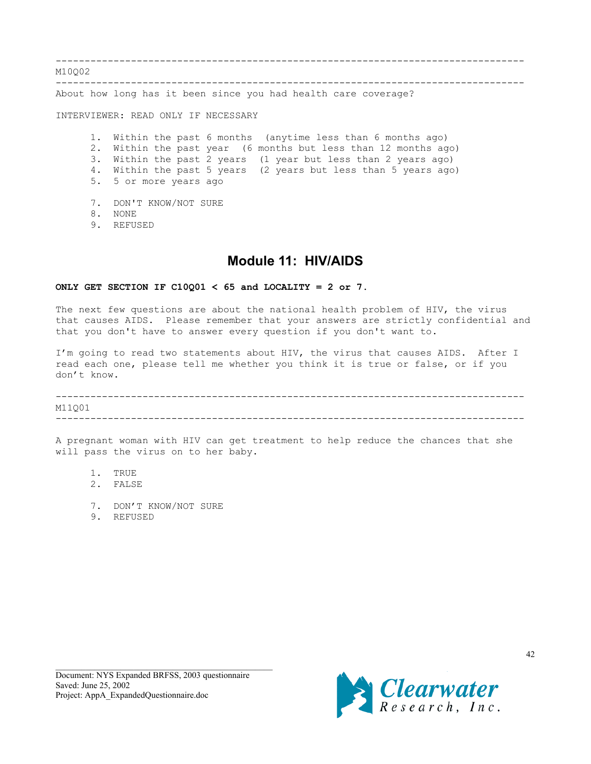<span id="page-41-0"></span>--------------------------------------------------------------------------------- M10002 ---------------------------------------------------------------------------------

About how long has it been since you had health care coverage?

INTERVIEWER: READ ONLY IF NECESSARY

1. Within the past 6 months (anytime less than 6 months ago) 2. Within the past year (6 months but less than 12 months ago) 3. Within the past 2 years (1 year but less than 2 years ago) 4. Within the past 5 years (2 years but less than 5 years ago) 5. 5 or more years ago

- 7. DON'T KNOW/NOT SURE
- 8. NONE
- 9. REFUSED

# **Module 11: HIV/AIDS**

### **ONLY GET SECTION IF C10Q01 < 65 and LOCALITY = 2 or 7.**

The next few questions are about the national health problem of HIV, the virus that causes AIDS. Please remember that your answers are strictly confidential and that you don't have to answer every question if you don't want to.

I'm going to read two statements about HIV, the virus that causes AIDS. After I read each one, please tell me whether you think it is true or false, or if you don't know.

--------------------------------------------------------------------------------- M11Q01

---------------------------------------------------------------------------------

A pregnant woman with HIV can get treatment to help reduce the chances that she will pass the virus on to her baby.

- 1. TRUE 2. FALSE
- 
- 7. DON'T KNOW/NOT SURE
- 9. REFUSED

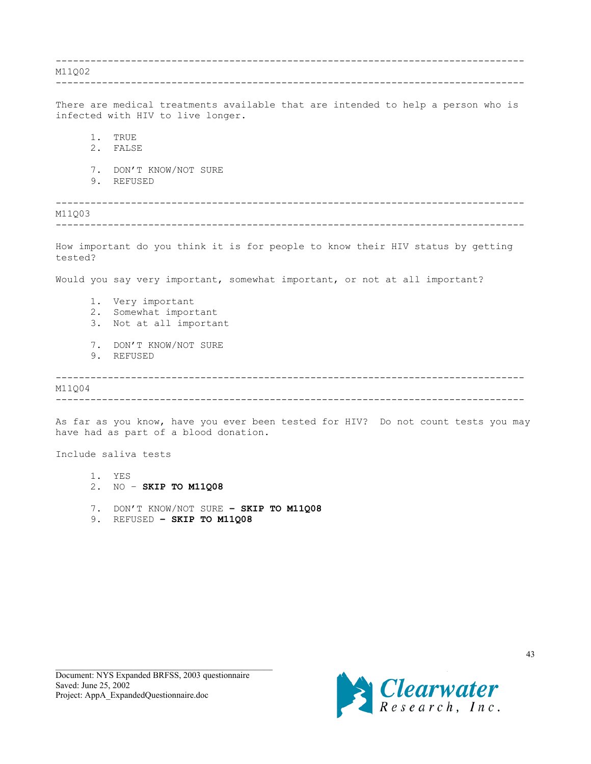--------------------------------------------------------------------------------- M11Q02 --------------------------------------------------------------------------------- There are medical treatments available that are intended to help a person who is infected with HIV to live longer. 1. TRUE 2. FALSE 7. DON'T KNOW/NOT SURE 9. REFUSED --------------------------------------------------------------------------------- M11Q03 --------------------------------------------------------------------------------- How important do you think it is for people to know their HIV status by getting tested? Would you say very important, somewhat important, or not at all important? 1. Very important 2. Somewhat important 3. Not at all important 7. DON'T KNOW/NOT SURE 9. REFUSED --------------------------------------------------------------------------------- M11Q04 ---------------------------------------------------------------------------------

As far as you know, have you ever been tested for HIV? Do not count tests you may have had as part of a blood donation.

Include saliva tests

- 1. YES
- 2. NO **SKIP TO M11Q08**
- 7. DON'T KNOW/NOT SURE **SKIP TO M11Q08**
- 9. REFUSED **SKIP TO M11Q08**

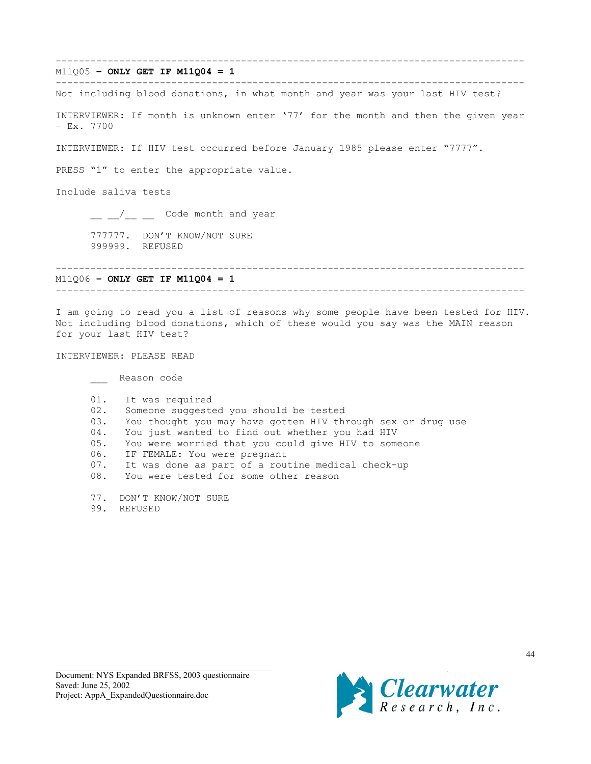--------------------------------------------------------------------------------- M11Q05 **– ONLY GET IF M11Q04 = 1** --------------------------------------------------------------------------------- Not including blood donations, in what month and year was your last HIV test? INTERVIEWER: If month is unknown enter '77' for the month and then the given year – Ex. 7700 INTERVIEWER: If HIV test occurred before January 1985 please enter "7777". PRESS "1" to enter the appropriate value. Include saliva tests \_\_ \_\_/\_\_ \_\_ Code month and year 777777. DON'T KNOW/NOT SURE 999999. REFUSED --------------------------------------------------------------------------------- M11Q06 **– ONLY GET IF M11Q04 = 1** --------------------------------------------------------------------------------- I am going to read you a list of reasons why some people have been tested for HIV. Not including blood donations, which of these would you say was the MAIN reason for your last HIV test? INTERVIEWER: PLEASE READ \_\_\_ Reason code 01. It was required 02. Someone suggested you should be tested 03. You thought you may have gotten HIV through sex or drug use 04. You just wanted to find out whether you had HIV 05. You were worried that you could give HIV to someone 06. IF FEMALE: You were pregnant 07. It was done as part of a routine medical check-up 08. You were tested for some other reason

- 77. DON'T KNOW/NOT SURE
- 99. REFUSED

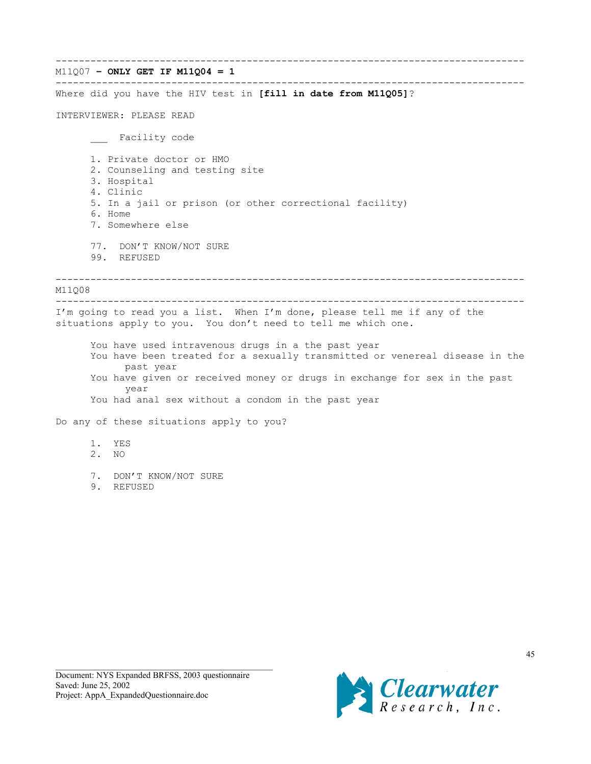--------------------------------------------------------------------------------- M11Q07 **– ONLY GET IF M11Q04 = 1** --------------------------------------------------------------------------------- Where did you have the HIV test in **[fill in date from M11Q05]**? INTERVIEWER: PLEASE READ \_\_\_ Facility code 1. Private doctor or HMO 2. Counseling and testing site 3. Hospital 4. Clinic 5. In a jail or prison (or other correctional facility) 6. Home 7. Somewhere else 77. DON'T KNOW/NOT SURE 99. REFUSED --------------------------------------------------------------------------------- M11Q08 --------------------------------------------------------------------------------- I'm going to read you a list. When I'm done, please tell me if any of the situations apply to you. You don't need to tell me which one. You have used intravenous drugs in a the past year You have been treated for a sexually transmitted or venereal disease in the past year You have given or received money or drugs in exchange for sex in the past year You had anal sex without a condom in the past year Do any of these situations apply to you? 1. YES 2. NO 7. DON'T KNOW/NOT SURE 9. REFUSED

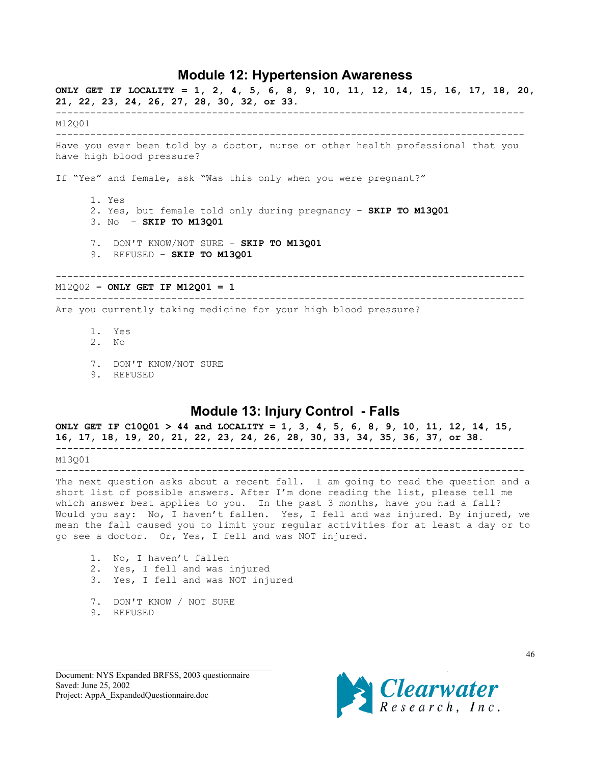## **Module 12: Hypertension Awareness**

<span id="page-45-0"></span>**ONLY GET IF LOCALITY = 1, 2, 4, 5, 6, 8, 9, 10, 11, 12, 14, 15, 16, 17, 18, 20, 21, 22, 23, 24, 26, 27, 28, 30, 32, or 33.** --------------------------------------------------------------------------------- M12Q01 --------------------------------------------------------------------------------- Have you ever been told by a doctor, nurse or other health professional that you have high blood pressure? If "Yes" and female, ask "Was this only when you were pregnant?" 1. Yes 2. Yes, but female told only during pregnancy – **SKIP TO M13Q01** 3. No – **SKIP TO M13Q01** 7. DON'T KNOW/NOT SURE – **SKIP TO M13Q01** 9. REFUSED – **SKIP TO M13Q01** --------------------------------------------------------------------------------- M12Q02 **– ONLY GET IF M12Q01 = 1** --------------------------------------------------------------------------------- Are you currently taking medicine for your high blood pressure? 1. Yes 2. No 7. DON'T KNOW/NOT SURE

9. REFUSED

# **Module 13: Injury Control - Falls**

**ONLY GET IF C10Q01 > 44 and LOCALITY = 1, 3, 4, 5, 6, 8, 9, 10, 11, 12, 14, 15, 16, 17, 18, 19, 20, 21, 22, 23, 24, 26, 28, 30, 33, 34, 35, 36, 37, or 38.** --------------------------------------------------------------------------------- M13Q01 ---------------------------------------------------------------------------------

The next question asks about a recent fall. I am going to read the question and a short list of possible answers. After I'm done reading the list, please tell me which answer best applies to you. In the past 3 months, have you had a fall? Would you say: No, I haven't fallen. Yes, I fell and was injured. By injured, we mean the fall caused you to limit your regular activities for at least a day or to go see a doctor. Or, Yes, I fell and was NOT injured.

- 1. No, I haven't fallen 2. Yes, I fell and was injured 3. Yes, I fell and was NOT injured
- 7. DON'T KNOW / NOT SURE
- 9. REFUSED

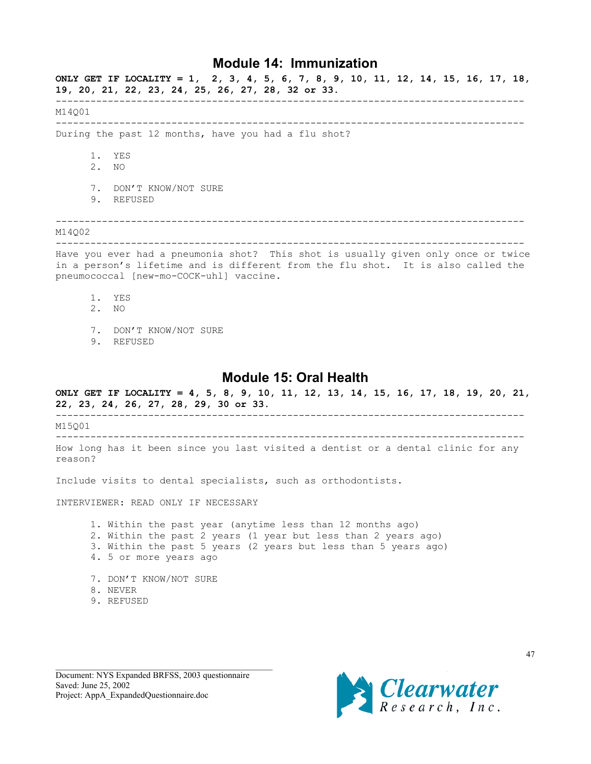## **Module 14: Immunization**

<span id="page-46-0"></span>**ONLY GET IF LOCALITY = 1, 2, 3, 4, 5, 6, 7, 8, 9, 10, 11, 12, 14, 15, 16, 17, 18, 19, 20, 21, 22, 23, 24, 25, 26, 27, 28, 32 or 33.** --------------------------------------------------------------------------------- M14Q01 --------------------------------------------------------------------------------- During the past 12 months, have you had a flu shot? 1. YES 2. NO 7. DON'T KNOW/NOT SURE 9. REFUSED --------------------------------------------------------------------------------- M14Q02 --------------------------------------------------------------------------------- Have you ever had a pneumonia shot? This shot is usually given only once or twice in a person's lifetime and is different from the flu shot. It is also called the pneumococcal [new-mo-COCK-uhl] vaccine. 1. YES

- 2. NO
- 
- 7. DON'T KNOW/NOT SURE
- 9. REFUSED

# **Module 15: Oral Health**

**ONLY GET IF LOCALITY = 4, 5, 8, 9, 10, 11, 12, 13, 14, 15, 16, 17, 18, 19, 20, 21, 22, 23, 24, 26, 27, 28, 29, 30 or 33.**

--------------------------------------------------------------------------------- M15Q01

--------------------------------------------------------------------------------- How long has it been since you last visited a dentist or a dental clinic for any

reason?

Include visits to dental specialists, such as orthodontists.

INTERVIEWER: READ ONLY IF NECESSARY

1. Within the past year (anytime less than 12 months ago) 2. Within the past 2 years (1 year but less than 2 years ago) 3. Within the past 5 years (2 years but less than 5 years ago) 4. 5 or more years ago

- 7. DON'T KNOW/NOT SURE
- 8. NEVER
- 9. REFUSED

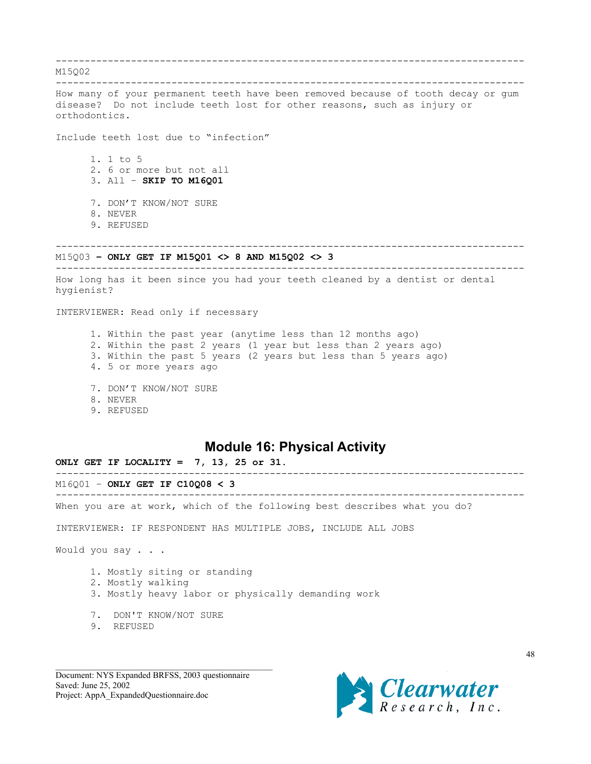<span id="page-47-0"></span>--------------------------------------------------------------------------------- M15Q02 --------------------------------------------------------------------------------- How many of your permanent teeth have been removed because of tooth decay or gum disease? Do not include teeth lost for other reasons, such as injury or orthodontics. Include teeth lost due to "infection" 1. 1 to 5 2. 6 or more but not all 3. All – **SKIP TO M16Q01** 7. DON'T KNOW/NOT SURE 8. NEVER 9. REFUSED --------------------------------------------------------------------------------- M15Q03 **– ONLY GET IF M15Q01 <> 8 AND M15Q02 <> 3** --------------------------------------------------------------------------------- How long has it been since you had your teeth cleaned by a dentist or dental hygienist? INTERVIEWER: Read only if necessary 1. Within the past year (anytime less than 12 months ago) 2. Within the past 2 years (1 year but less than 2 years ago) 3. Within the past 5 years (2 years but less than 5 years ago) 4. 5 or more years ago 7. DON'T KNOW/NOT SURE 8. NEVER 9. REFUSED **Module 16: Physical Activity ONLY GET IF LOCALITY = 7, 13, 25 or 31.** --------------------------------------------------------------------------------- M16Q01 – **ONLY GET IF C10Q08 < 3** --------------------------------------------------------------------------------- When you are at work, which of the following best describes what you do? INTERVIEWER: IF RESPONDENT HAS MULTIPLE JOBS, INCLUDE ALL JOBS

Would you say . . .

- 1. Mostly siting or standing
- 2. Mostly walking
- 3. Mostly heavy labor or physically demanding work
- 7. DON'T KNOW/NOT SURE
- 9. REFUSED

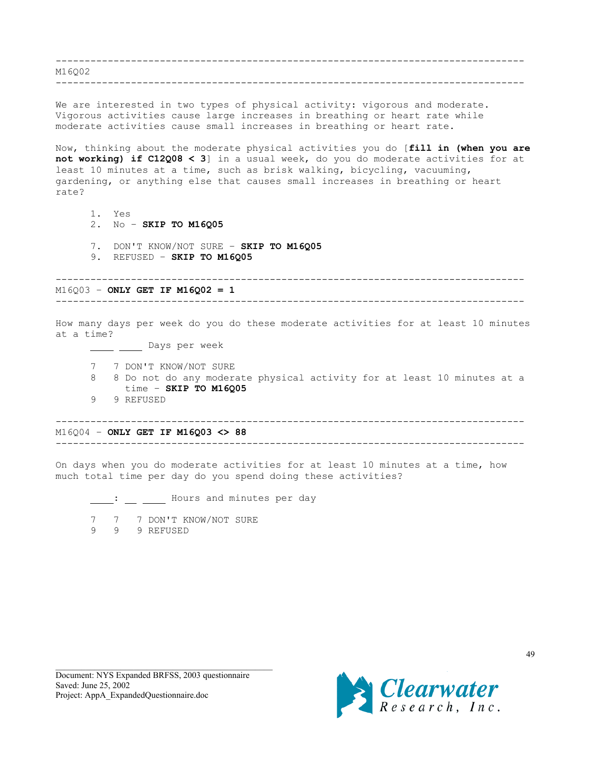--------------------------------------------------------------------------------- M16002

---------------------------------------------------------------------------------

We are interested in two types of physical activity: vigorous and moderate. Vigorous activities cause large increases in breathing or heart rate while moderate activities cause small increases in breathing or heart rate.

Now, thinking about the moderate physical activities you do [**fill in (when you are not working) if C12Q08 < 3**] in a usual week, do you do moderate activities for at least 10 minutes at a time, such as brisk walking, bicycling, vacuuming, gardening, or anything else that causes small increases in breathing or heart rate?

- 1. Yes
- 2. No **SKIP TO M16Q05**
- 7. DON'T KNOW/NOT SURE **SKIP TO M16Q05**
- 9. REFUSED **SKIP TO M16Q05**

--------------------------------------------------------------------------------- M16Q03 – **ONLY GET IF M16Q02 = 1** ---------------------------------------------------------------------------------

How many days per week do you do these moderate activities for at least 10 minutes at a time?

\_ \_\_\_\_ Days per week

- 7 7 DON'T KNOW/NOT SURE
- 8 8 Do not do any moderate physical activity for at least 10 minutes at a time – **SKIP TO M16Q05**
- 9 9 REFUSED

--------------------------------------------------------------------------------- M16Q04 – **ONLY GET IF M16Q03 <> 88** ---------------------------------------------------------------------------------

On days when you do moderate activities for at least 10 minutes at a time, how much total time per day do you spend doing these activities?

: Hours and minutes per day

7 7 7 DON'T KNOW/NOT SURE

9 9 9 REFUSED

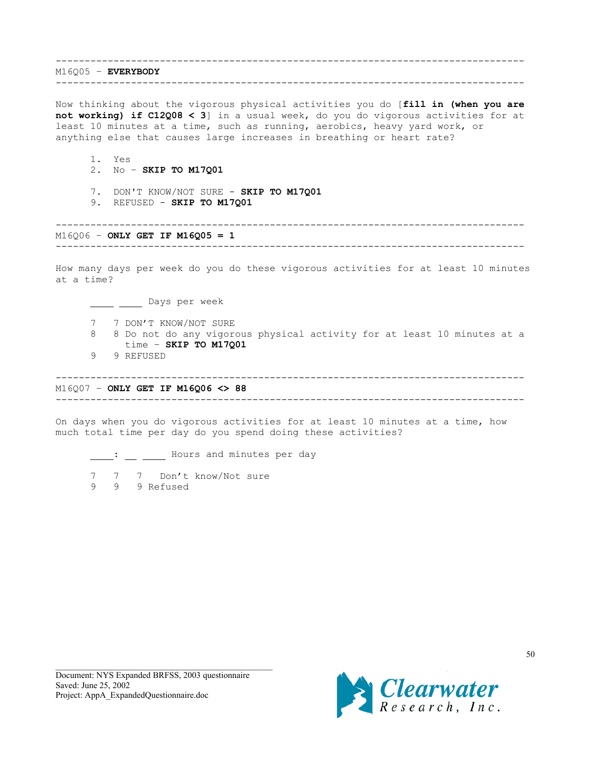--------------------------------------------------------------------------------- M16Q05 – **EVERYBODY**

---------------------------------------------------------------------------------

Now thinking about the vigorous physical activities you do [**fill in (when you are not working) if C12Q08 < 3**] in a usual week, do you do vigorous activities for at least 10 minutes at a time, such as running, aerobics, heavy yard work, or anything else that causes large increases in breathing or heart rate?

- 1. Yes
- 2. No **SKIP TO M17Q01**
- 7. DON'T KNOW/NOT SURE **SKIP TO M17Q01**
- 9. REFUSED **SKIP TO M17Q01**

--------------------------------------------------------------------------------- M16Q06 – **ONLY GET IF M16Q05 = 1**

---------------------------------------------------------------------------------

How many days per week do you do these vigorous activities for at least 10 minutes at a time?

Lays per week

- 7 7 DON'T KNOW/NOT SURE
- 8 8 Do not do any vigorous physical activity for at least 10 minutes at a time – **SKIP TO M17Q01**
- 9 9 REFUSED

---------------------------------------------------------------------------------

M16Q07 – **ONLY GET IF M16Q06 <> 88** ---------------------------------------------------------------------------------

On days when you do vigorous activities for at least 10 minutes at a time, how much total time per day do you spend doing these activities?

: Hours and minutes per day

7 7 7 Don't know/Not sure 9 9 9 Refused

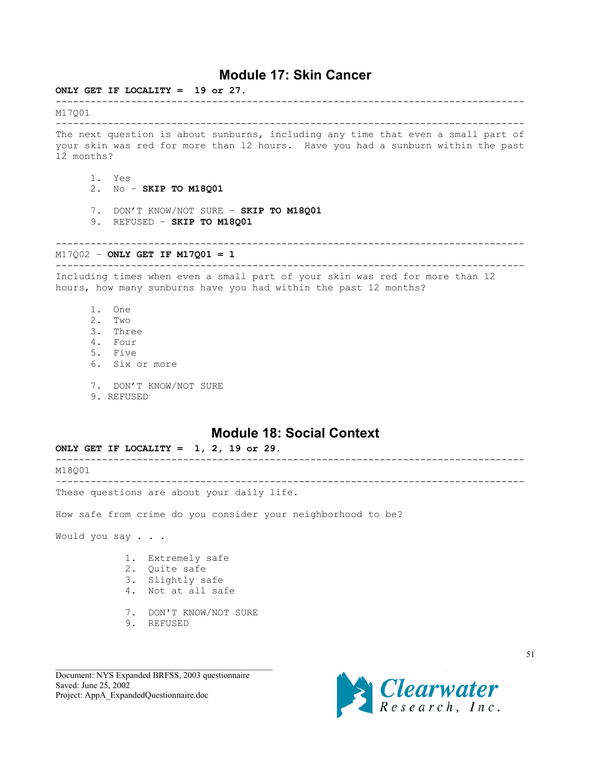# **Module 17: Skin Cancer**

<span id="page-50-0"></span>**ONLY GET IF LOCALITY = 19 or 27.** --------------------------------------------------------------------------------- M17Q01 --------------------------------------------------------------------------------- The next question is about sunburns, including any time that even a small part of your skin was red for more than 12 hours. Have you had a sunburn within the past 12 months? 1. Yes 2. No – **SKIP TO M18Q01** 7. DON'T KNOW/NOT SURE – **SKIP TO M18Q01** 9. REFUSED – **SKIP TO M18Q01** --------------------------------------------------------------------------------- M17Q02 – **ONLY GET IF M17Q01 = 1** --------------------------------------------------------------------------------- Including times when even a small part of your skin was red for more than 12 hours, how many sunburns have you had within the past 12 months? 1. One 2. Two 3. Three 4. Four 5. Five 6. Six or more 7. DON'T KNOW/NOT SURE 9. REFUSED **Module 18: Social Context ONLY GET IF LOCALITY = 1, 2, 19 or 29.** --------------------------------------------------------------------------------- M18Q01 –-------------------------------------------------------------------------------- These questions are about your daily life. How safe from crime do you consider your neighborhood to be? Would you say . . . 1. Extremely safe

- 2. Quite safe
- 3. Slightly safe
- 4. Not at all safe
- 7. DON'T KNOW/NOT SURE
- 9. REFUSED

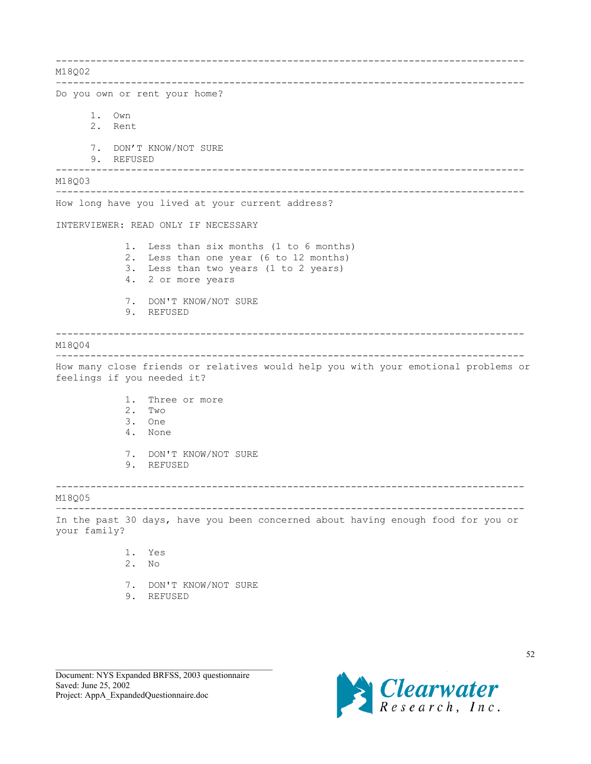--------------------------------------------------------------------------------- M18002 –-------------------------------------------------------------------------------- Do you own or rent your home? 1. Own 2. Rent 7. DON'T KNOW/NOT SURE 9. REFUSED --------------------------------------------------------------------------------- M18Q03 –-------------------------------------------------------------------------------- How long have you lived at your current address? INTERVIEWER: READ ONLY IF NECESSARY 1. Less than six months (1 to 6 months) 2. Less than one year (6 to 12 months) 3. Less than two years (1 to 2 years) 4. 2 or more years 7. DON'T KNOW/NOT SURE 9. REFUSED --------------------------------------------------------------------------------- M18Q04 –-------------------------------------------------------------------------------- How many close friends or relatives would help you with your emotional problems or feelings if you needed it? 1. Three or more 2. Two 3. One 4. None 7. DON'T KNOW/NOT SURE 9. REFUSED --------------------------------------------------------------------------------- M18Q05 –-------------------------------------------------------------------------------- In the past 30 days, have you been concerned about having enough food for you or your family? 1. Yes 2. No 7. DON'T KNOW/NOT SURE

9. REFUSED

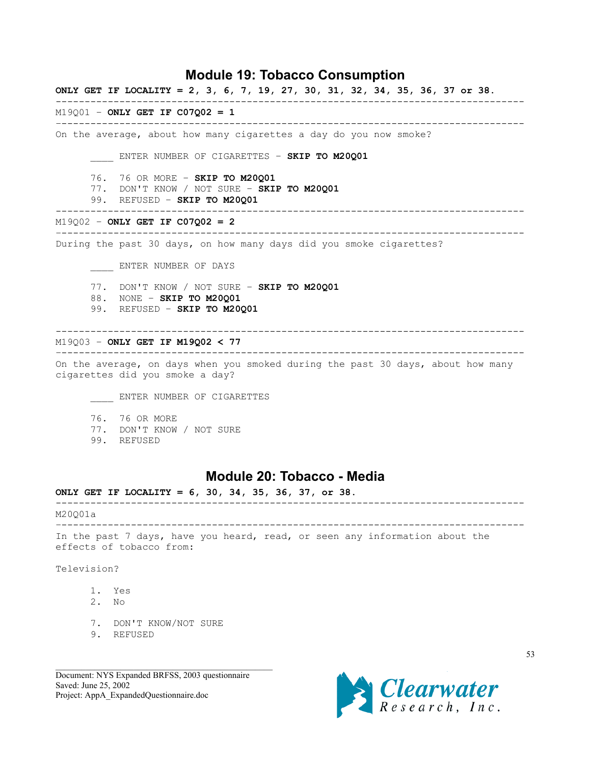# **Module 19: Tobacco Consumption**

<span id="page-52-0"></span>**ONLY GET IF LOCALITY = 2, 3, 6, 7, 19, 27, 30, 31, 32, 34, 35, 36, 37 or 38.**

---------------------------------------------------------------------------------

–--------------------------------------------------------------------------------

M19Q01 – **ONLY GET IF C07Q02 = 1**

On the average, about how many cigarettes a day do you now smoke?

\_\_\_\_ ENTER NUMBER OF CIGARETTES – **SKIP TO M20Q01**

- 76. 76 OR MORE **SKIP TO M20Q01**
- 77. DON'T KNOW / NOT SURE **SKIP TO M20Q01**
- 99. REFUSED **SKIP TO M20Q01**

M19Q02 – **ONLY GET IF C07Q02 = 2**

–--------------------------------------------------------------------------------

---------------------------------------------------------------------------------

During the past 30 days, on how many days did you smoke cigarettes?

\_\_\_\_ ENTER NUMBER OF DAYS

- 77. DON'T KNOW / NOT SURE **SKIP TO M20Q01**
- 88. NONE **SKIP TO M20Q01**
- 99. REFUSED **SKIP TO M20Q01**

#### ---------------------------------------------------------------------------------

M19Q03 – **ONLY GET IF M19Q02 < 77**

–-------------------------------------------------------------------------------- On the average, on days when you smoked during the past 30 days, about how many cigarettes did you smoke a day?

**ENTER NUMBER OF CIGARETTES** 

- 76. 76 OR MORE
- 77. DON'T KNOW / NOT SURE
- 99. REFUSED

# **Module 20: Tobacco - Media**

**ONLY GET IF LOCALITY = 6, 30, 34, 35, 36, 37, or 38.**

---------------------------------------------------------------------------------

M20Q01a

–-------------------------------------------------------------------------------- In the past 7 days, have you heard, read, or seen any information about the effects of tobacco from:

Television?

- 1. Yes
- 2. No
- 7. DON'T KNOW/NOT SURE
- 9. REFUSED

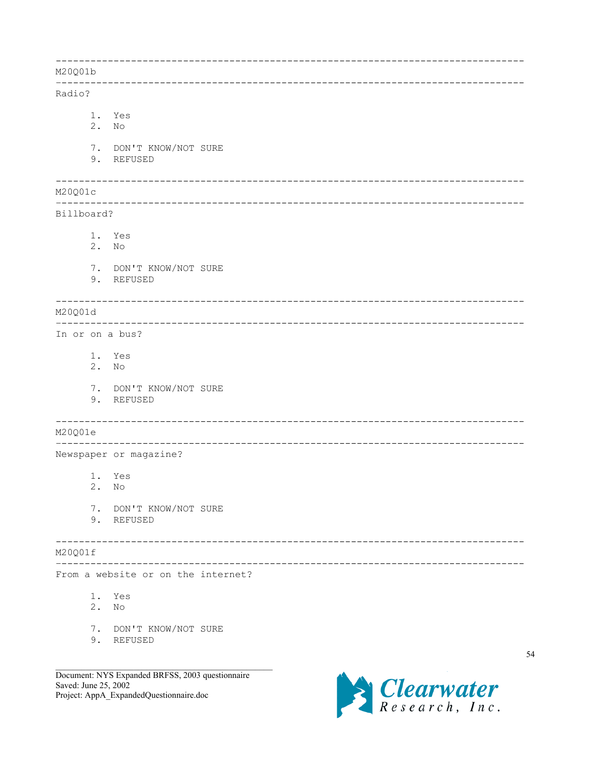|                 |             |                                      | _____________________________        |
|-----------------|-------------|--------------------------------------|--------------------------------------|
| M20Q01b         |             |                                      |                                      |
| Radio?          |             |                                      |                                      |
|                 | 1.<br>2.    | Yes<br>N <sub>O</sub>                |                                      |
|                 |             | 7. DON'T KNOW/NOT SURE<br>9. REFUSED |                                      |
| M20Q01c         |             |                                      |                                      |
| Billboard?      |             |                                      |                                      |
|                 | 2.          | 1. Yes<br>N <sub>O</sub>             |                                      |
|                 |             | 7. DON'T KNOW/NOT SURE<br>9. REFUSED |                                      |
| M20Q01d         |             |                                      |                                      |
| In or on a bus? |             |                                      |                                      |
|                 | 2. No       | 1. Yes                               |                                      |
|                 |             | 7. DON'T KNOW/NOT SURE<br>9. REFUSED |                                      |
| M20Q01e         |             |                                      | ------------------------------------ |
|                 |             | Newspaper or magazine?               |                                      |
|                 | 2. No       | 1. Yes                               |                                      |
|                 | 7.          | DON'T KNOW/NOT SURE<br>9. REFUSED    |                                      |
| M20Q01f         |             |                                      |                                      |
|                 |             | From a website or on the internet?   |                                      |
|                 | $1$ .<br>2. | Yes<br>No                            |                                      |
|                 | 7.          | DON'T KNOW/NOT SURE<br>9. REFUSED    |                                      |

Document: NYS Expanded BRFSS, 2003 questionnaire<br>Saved: June 25, 2002 Project: AppA\_ExpandedQuestionnaire.doc



54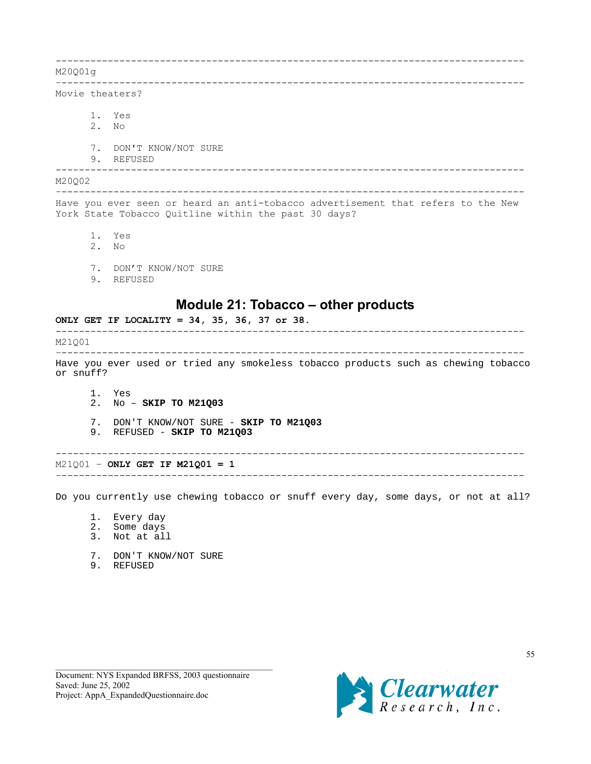<span id="page-54-0"></span>--------------------------------------------------------------------------------- M20Q01g –-------------------------------------------------------------------------------- Movie theaters? 1. Yes 2. No 7. DON'T KNOW/NOT SURE 9. REFUSED --------------------------------------------------------------------------------- M20Q02 –-------------------------------------------------------------------------------- Have you ever seen or heard an anti-tobacco advertisement that refers to the New York State Tobacco Quitline within the past 30 days? 1. Yes 2. No 7. DON'T KNOW/NOT SURE 9. REFUSED **Module 21: Tobacco – other products ONLY GET IF LOCALITY = 34, 35, 36, 37 or 38.** ---------------------------------------------------------------------------------

M21Q01 –-------------------------------------------------------------------------------- Have you ever used or tried any smokeless tobacco products such as chewing tobacco or snuff?

1. Yes 2. No – **SKIP TO M21Q03**

7. DON'T KNOW/NOT SURE - **SKIP TO M21Q03**

9. REFUSED - **SKIP TO M21Q03**

---------------------------------------------------------------------------------

M21Q01 – **ONLY GET IF M21Q01 = 1** –--------------------------------------------------------------------------------

Do you currently use chewing tobacco or snuff every day, some days, or not at all?

- 1. Every day
- 2. Some days
- 3. Not at all
- 7. DON'T KNOW/NOT SURE
- 9. REFUSED

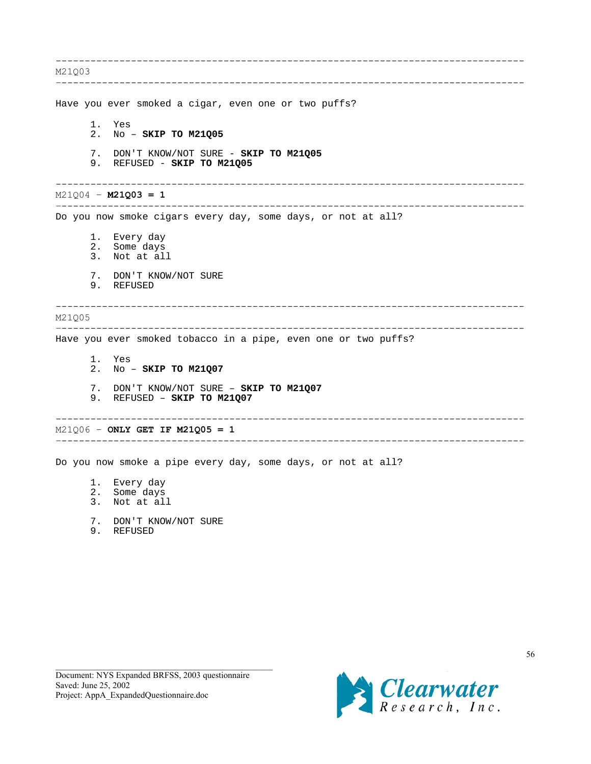--------------------------------------------------------------------------------- M21Q03 –-------------------------------------------------------------------------------- Have you ever smoked a cigar, even one or two puffs? 1. Yes 2. No – **SKIP TO M21Q05** 7. DON'T KNOW/NOT SURE - **SKIP TO M21Q05** 9. REFUSED - **SKIP TO M21Q05** --------------------------------------------------------------------------------- M21Q04 – **M21Q03 = 1** –-------------------------------------------------------------------------------- Do you now smoke cigars every day, some days, or not at all? 1. Every day 2. Some days 3. Not at all 7. DON'T KNOW/NOT SURE 9. REFUSED --------------------------------------------------------------------------------- M21Q05 –-------------------------------------------------------------------------------- Have you ever smoked tobacco in a pipe, even one or two puffs? 1. Yes 2. No – **SKIP TO M21Q07** 7. DON'T KNOW/NOT SURE – **SKIP TO M21Q07** 9. REFUSED – **SKIP TO M21Q07** --------------------------------------------------------------------------------- M21Q06 – **ONLY GET IF M21Q05 = 1** –-------------------------------------------------------------------------------- Do you now smoke a pipe every day, some days, or not at all? 1. Every day 2. Some days 3. Not at all

- 7. DON'T KNOW/NOT SURE
- 9. REFUSED

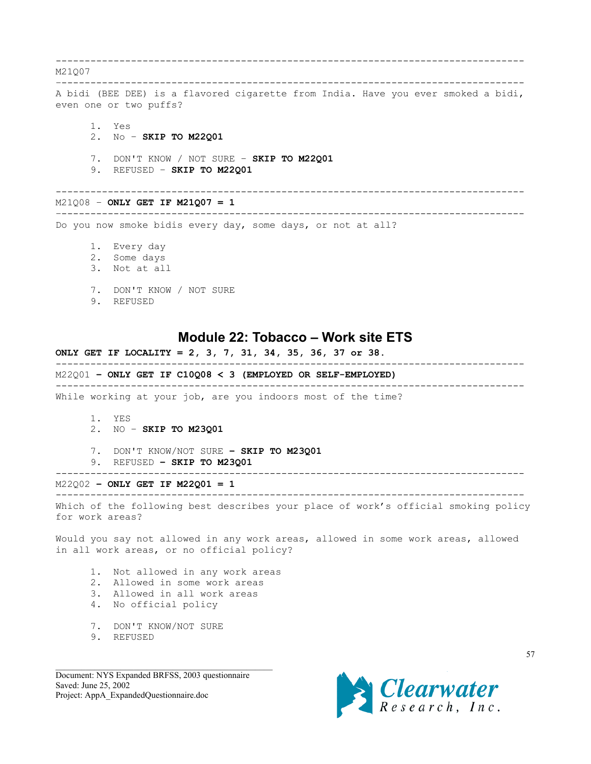<span id="page-56-0"></span>--------------------------------------------------------------------------------- M21Q07 –-------------------------------------------------------------------------------- A bidi (BEE DEE) is a flavored cigarette from India. Have you ever smoked a bidi, even one or two puffs? 1. Yes 2. No – **SKIP TO M22Q01** 7. DON'T KNOW / NOT SURE – **SKIP TO M22Q01** 9. REFUSED – **SKIP TO M22Q01** --------------------------------------------------------------------------------- M21Q08 – **ONLY GET IF M21Q07 = 1** –-------------------------------------------------------------------------------- Do you now smoke bidis every day, some days, or not at all? 1. Every day 2. Some days 3. Not at all 7. DON'T KNOW / NOT SURE 9. REFUSED

## **Module 22: Tobacco – Work site ETS**

## **ONLY GET IF LOCALITY = 2, 3, 7, 31, 34, 35, 36, 37 or 38.** --------------------------------------------------------------------------------- M22Q01 **– ONLY GET IF C10Q08 < 3 (EMPLOYED OR SELF-EMPLOYED)** ---------------------------------------------------------------------------------

While working at your job, are you indoors most of the time?

- 1. YES
- 2. NO – **SKIP TO M23Q01**
- 7. DON'T KNOW/NOT SURE **SKIP TO M23Q01**
- 9. REFUSED **SKIP TO M23Q01**

#### M22Q02 **– ONLY GET IF M22Q01 = 1**

--------------------------------------------------------------------------------- Which of the following best describes your place of work's official smoking policy for work areas?

---------------------------------------------------------------------------------

Would you say not allowed in any work areas, allowed in some work areas, allowed in all work areas, or no official policy?

- 1. Not allowed in any work areas
- 2. Allowed in some work areas
- 3. Allowed in all work areas
- 4. No official policy
- 7. DON'T KNOW/NOT SURE
- 9. REFUSED

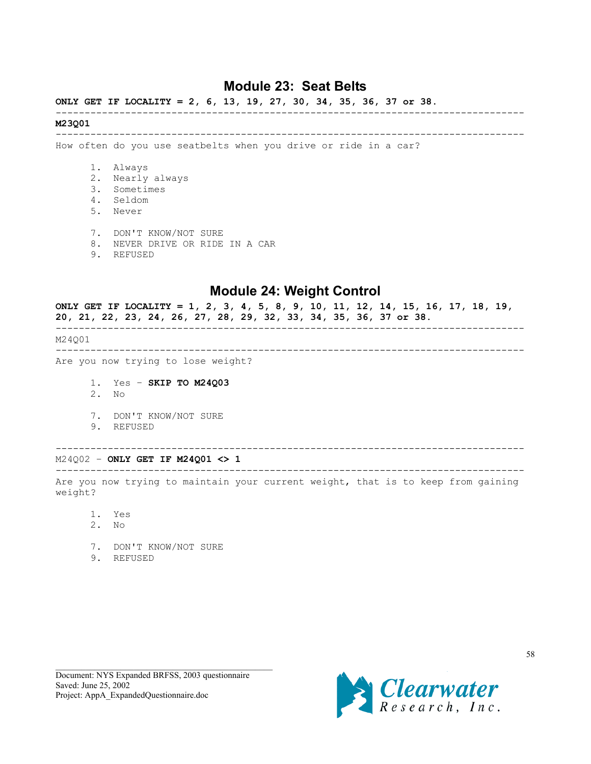# **Module 23: Seat Belts**

## <span id="page-57-0"></span>**ONLY GET IF LOCALITY = 2, 6, 13, 19, 27, 30, 34, 35, 36, 37 or 38.**

### **M23Q01**

---------------------------------------------------------------------------------

---------------------------------------------------------------------------------

How often do you use seatbelts when you drive or ride in a car?

- 1. Always
- 2. Nearly always
- 3. Sometimes
- 4. Seldom
- 5. Never
- 7. DON'T KNOW/NOT SURE
- 8. NEVER DRIVE OR RIDE IN A CAR
- 9. REFUSED

# **Module 24: Weight Control**

**ONLY GET IF LOCALITY = 1, 2, 3, 4, 5, 8, 9, 10, 11, 12, 14, 15, 16, 17, 18, 19, 20, 21, 22, 23, 24, 26, 27, 28, 29, 32, 33, 34, 35, 36, 37 or 38.** --------------------------------------------------------------------------------- M24Q01 --------------------------------------------------------------------------------- Are you now trying to lose weight? 1. Yes – **SKIP TO M24Q03**

- 2. No
- 7. DON'T KNOW/NOT SURE
- 9. REFUSED

# ---------------------------------------------------------------------------------

M24Q02 – **ONLY GET IF M24Q01 <> 1** ---------------------------------------------------------------------------------

Are you now trying to maintain your current weight, that is to keep from gaining weight?

- 1. Yes
- 2. No
- 7. DON'T KNOW/NOT SURE
- 9. REFUSED

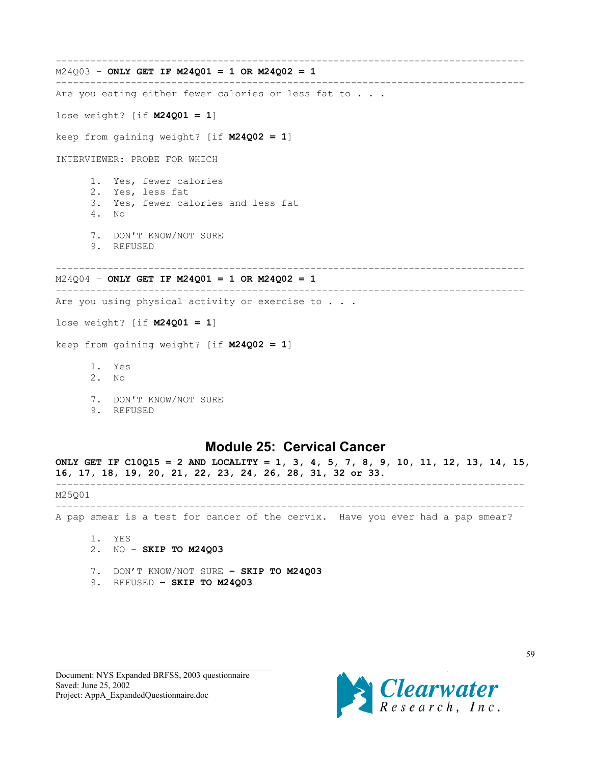```
---------------------------------------------------------------------------------
M24Q03 – ONLY GET IF M24Q01 = 1 OR M24Q02 = 1
---------------------------------------------------------------------------------
Are you eating either fewer calories or less fat to . . .
lose weight? [if M24Q01 = 1]
keep from gaining weight? [if M24Q02 = 1]
INTERVIEWER: PROBE FOR WHICH
      1. Yes, fewer calories
      2. Yes, less fat
      3. Yes, fewer calories and less fat
      4. No
      7. DON'T KNOW/NOT SURE
      9. REFUSED
---------------------------------------------------------------------------------
M24Q04 – ONLY GET IF M24Q01 = 1 OR M24Q02 = 1
---------------------------------------------------------------------------------
Are you using physical activity or exercise to . . .
lose weight? [if M24Q01 = 1]
keep from gaining weight? [if M24Q02 = 1]
      1. Yes
      2. No
```
- 
- 7. DON'T KNOW/NOT SURE
- 9. REFUSED

## **Module 25: Cervical Cancer**

**ONLY GET IF C10Q15 = 2 AND LOCALITY = 1, 3, 4, 5, 7, 8, 9, 10, 11, 12, 13, 14, 15, 16, 17, 18, 19, 20, 21, 22, 23, 24, 26, 28, 31, 32 or 33.** --------------------------------------------------------------------------------- M25Q01 --------------------------------------------------------------------------------- A pap smear is a test for cancer of the cervix. Have you ever had a pap smear? 1. YES

- 2. NO **SKIP TO M24Q03**
- 7. DON'T KNOW/NOT SURE **SKIP TO M24Q03**
- 9. REFUSED **SKIP TO M24Q03**